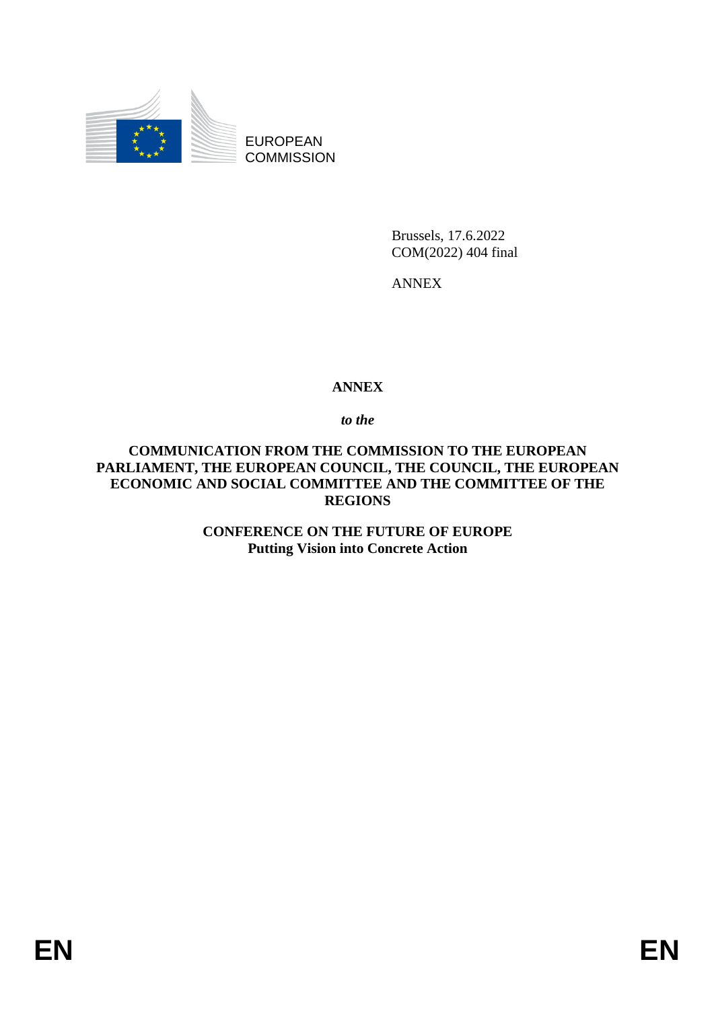

EUROPEAN **COMMISSION** 

> Brussels, 17.6.2022 COM(2022) 404 final

ANNEX

## **ANNEX**

*to the* 

**COMMUNICATION FROM THE COMMISSION TO THE EUROPEAN PARLIAMENT, THE EUROPEAN COUNCIL, THE COUNCIL, THE EUROPEAN ECONOMIC AND SOCIAL COMMITTEE AND THE COMMITTEE OF THE REGIONS**

> **CONFERENCE ON THE FUTURE OF EUROPE Putting Vision into Concrete Action**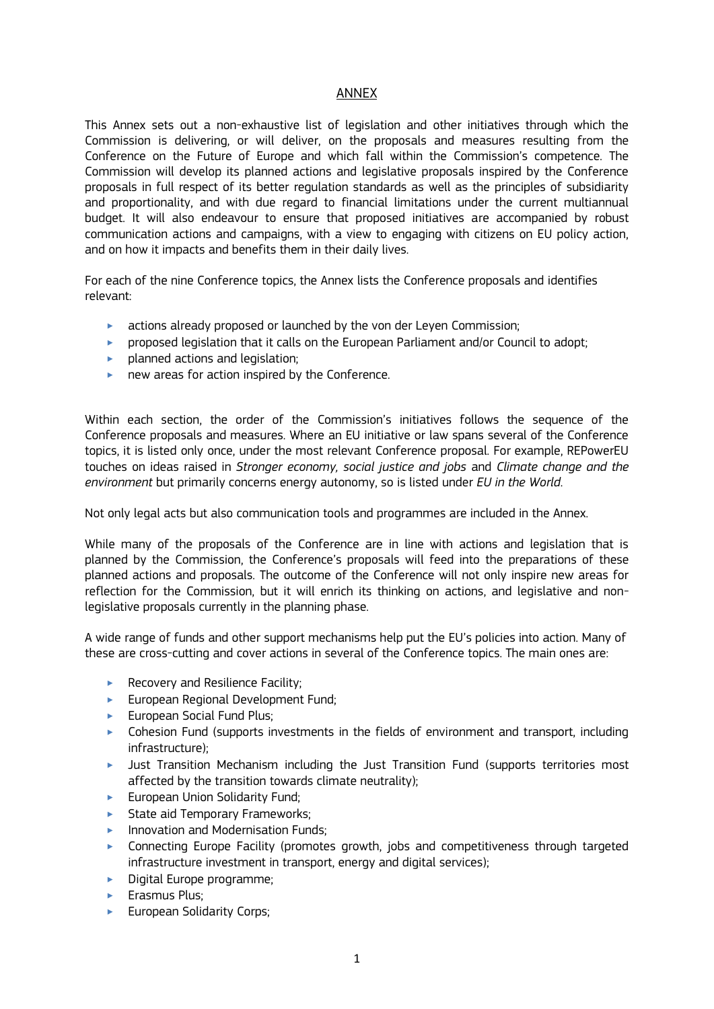#### ANNEX

This Annex sets out a non-exhaustive list of legislation and other initiatives through which the Commission is delivering, or will deliver, on the proposals and measures resulting from the Conference on the Future of Europe and which fall within the Commission's competence. The Commission will develop its planned actions and legislative proposals inspired by the Conference proposals in full respect of its better regulation standards as well as the principles of subsidiarity and proportionality, and with due regard to financial limitations under the current multiannual budget. It will also endeavour to ensure that proposed initiatives are accompanied by robust communication actions and campaigns, with a view to engaging with citizens on EU policy action, and on how it impacts and benefits them in their daily lives.

For each of the nine Conference topics, the Annex lists the Conference proposals and identifies relevant:

- **Exercise 3** actions already proposed or launched by the von der Leyen Commission;
- ‣ proposed legislation that it calls on the European Parliament and/or Council to adopt;
- $\blacktriangleright$  planned actions and legislation;
- **new areas for action inspired by the Conference.**

Within each section, the order of the Commission's initiatives follows the sequence of the Conference proposals and measures. Where an EU initiative or law spans several of the Conference topics, it is listed only once, under the most relevant Conference proposal. For example, REPowerEU touches on ideas raised in *Stronger economy, social justice and jobs* and *Climate change and the environment* but primarily concerns energy autonomy, so is listed under *EU in the World*.

Not only legal acts but also communication tools and programmes are included in the Annex.

While many of the proposals of the Conference are in line with actions and legislation that is planned by the Commission, the Conference's proposals will feed into the preparations of these planned actions and proposals. The outcome of the Conference will not only inspire new areas for reflection for the Commission, but it will enrich its thinking on actions, and legislative and nonlegislative proposals currently in the planning phase.

A wide range of funds and other support mechanisms help put the EU's policies into action. Many of these are cross-cutting and cover actions in several of the Conference topics. The main ones are:

- $\blacktriangleright$  Recovery and Resilience Facility;
- **European Regional Development Fund;**
- ► European Social Fund Plus:
- ‣ Cohesion Fund (supports investments in the fields of environment and transport, including infrastructure);
- ‣ Just Transition Mechanism including the Just Transition Fund (supports territories most affected by the transition towards climate neutrality);
- $\blacktriangleright$  European Union Solidarity Fund:
- ► State aid Temporary Frameworks:
- **Innovation and Modernisation Funds;**
- ‣ Connecting Europe Facility (promotes growth, jobs and competitiveness through targeted infrastructure investment in transport, energy and digital services);
- ▶ Digital Europe programme;
- **Erasmus Plus:**
- **European Solidarity Corps:**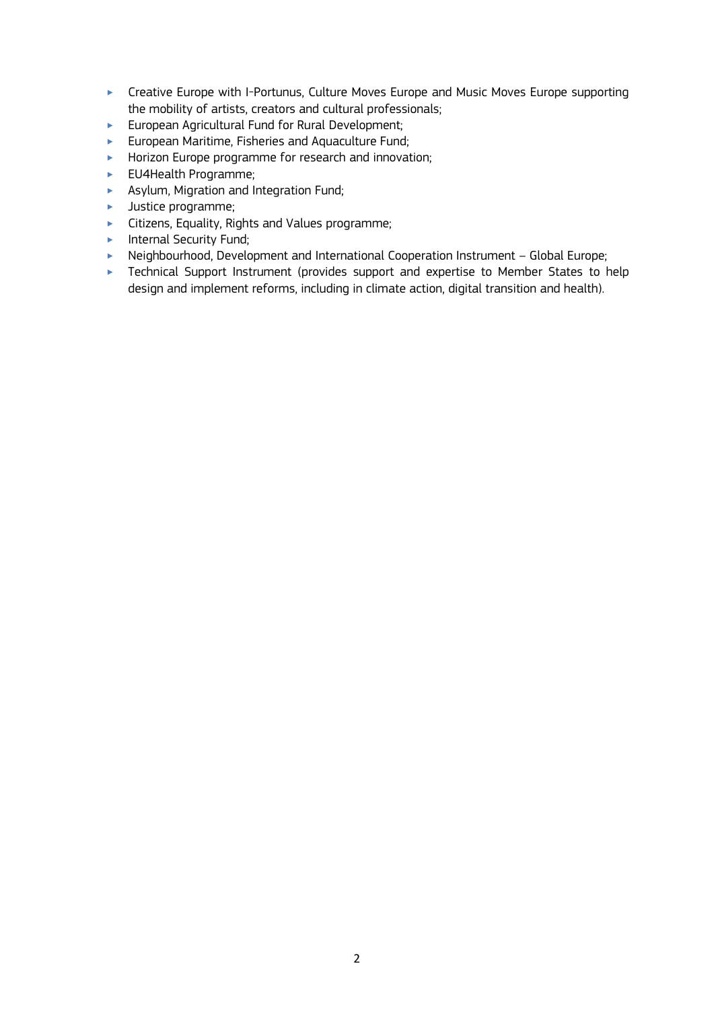- **EXECT** Creative Europe with I-Portunus, Culture Moves Europe and Music Moves Europe supporting the mobility of artists, creators and cultural professionals;
- ‣ European Agricultural Fund for Rural Development;
- ‣ European Maritime, Fisheries and Aquaculture Fund;
- **Horizon Europe programme for research and innovation;**
- ► EU4Health Programme;
- **EXECUTE:** Asylum, Migration and Integration Fund;
- **EXECUTE:** Justice programme;
- ‣ Citizens, Equality, Rights and Values programme;
- $\blacktriangleright$  Internal Security Fund;
- ▶ Neighbourhood, Development and International Cooperation Instrument Global Europe;
- **EXEC** Technical Support Instrument (provides support and expertise to Member States to help design and implement reforms, including in climate action, digital transition and health).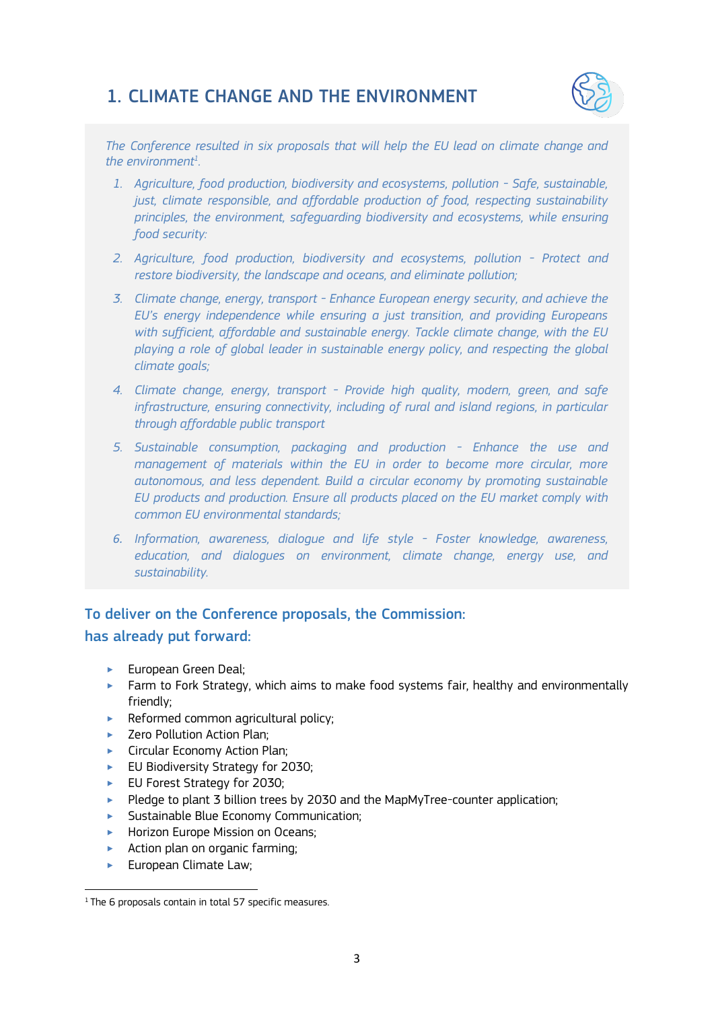## 1. CLIMATE CHANGE AND THE ENVIRONMENT



*The Conference resulted in six proposals that will help the EU lead on climate change and the environment<sup>1</sup> .* 

- *1. Agriculture, food production, biodiversity and ecosystems, pollution - Safe, sustainable, just, climate responsible, and affordable production of food, respecting sustainability principles, the environment, safeguarding biodiversity and ecosystems, while ensuring food security:*
- *2. Agriculture, food production, biodiversity and ecosystems, pollution - Protect and restore biodiversity, the landscape and oceans, and eliminate pollution;*
- *3. Climate change, energy, transport - Enhance European energy security, and achieve the EU's energy independence while ensuring a just transition, and providing Europeans with sufficient, affordable and sustainable energy. Tackle climate change, with the EU playing a role of global leader in sustainable energy policy, and respecting the global climate goals;*
- *4. Climate change, energy, transport - Provide high quality, modern, green, and safe infrastructure, ensuring connectivity, including of rural and island regions, in particular through affordable public transport*
- *5. Sustainable consumption, packaging and production - Enhance the use and management of materials within the EU in order to become more circular, more autonomous, and less dependent. Build a circular economy by promoting sustainable EU products and production. Ensure all products placed on the EU market comply with common EU environmental standards;*
- *6. Information, awareness, dialogue and life style - Foster knowledge, awareness, education, and dialogues on environment, climate change, energy use, and sustainability.*

## To deliver on the Conference proposals, the Commission:

### has already put forward:

- ► European Green Deal:
- ‣ Farm to Fork Strategy, which aims to make food systems fair, healthy and environmentally friendly;
- $\blacktriangleright$  Reformed common agricultural policy;
- ▶ Zero Pollution Action Plan;
- ► Circular Economy Action Plan:
- ► EU Biodiversity Strategy for 2030;
- ► EU Forest Strategy for 2030;
- ▶ Pledge to plant 3 billion trees by 2030 and the MapMyTree-counter application;
- ‣ Sustainable Blue Economy Communication;
- **Horizon Europe Mission on Oceans;**
- $\blacktriangleright$  Action plan on organic farming:
- **European Climate Law;**

<sup>1</sup> <sup>1</sup> The 6 proposals contain in total 57 specific measures.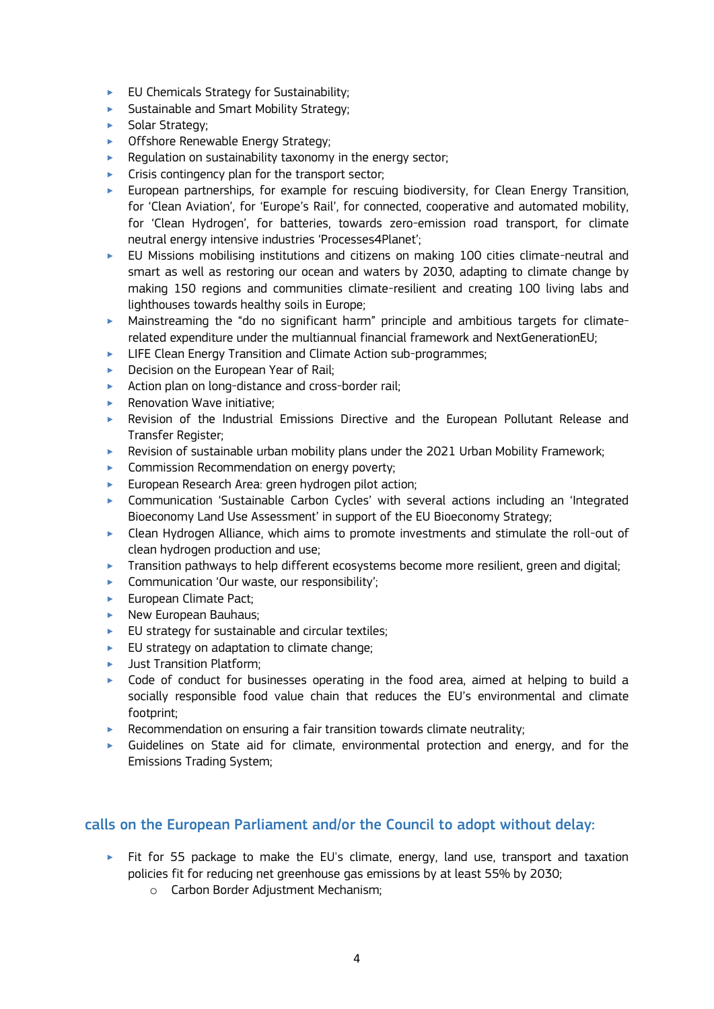- $\blacktriangleright$  EU Chemicals Strategy for Sustainability;
- **Sustainable and Smart Mobility Strategy;**
- **Solar Strategy;**
- **Offshore Renewable Energy Strategy;**
- $\blacktriangleright$  Regulation on sustainability taxonomy in the energy sector;
- $\blacktriangleright$  Crisis contingency plan for the transport sector;
- ‣ European partnerships, for example for rescuing biodiversity, for Clean Energy Transition, for 'Clean Aviation', for 'Europe's Rail', for connected, cooperative and automated mobility, for 'Clean Hydrogen', for batteries, towards zero-emission road transport, for climate neutral energy intensive industries 'Processes4Planet';
- ‣ EU Missions mobilising institutions and citizens on making 100 cities climate-neutral and smart as well as restoring our ocean and waters by 2030, adapting to climate change by making 150 regions and communities climate-resilient and creating 100 living labs and lighthouses towards healthy soils in Europe;
- ‣ Mainstreaming the "do no significant harm" principle and ambitious targets for climaterelated expenditure under the multiannual financial framework and NextGenerationEU;
- ► LIFE Clean Energy Transition and Climate Action sub-programmes;
- $\triangleright$  Decision on the European Year of Rail;
- ▶ Action plan on long-distance and cross-border rail;
- $\blacktriangleright$  Renovation Wave initiative:
- ‣ Revision of the Industrial Emissions Directive and the European Pollutant Release and Transfer Register;
- ‣ Revision of sustainable urban mobility plans under the 2021 Urban Mobility Framework;
- **EXECOMMISSION Recommendation on energy poverty;**
- **European Research Area: green hydrogen pilot action;**
- ‣ Communication 'Sustainable Carbon Cycles' with several actions including an 'Integrated Bioeconomy Land Use Assessment' in support of the EU Bioeconomy Strategy;
- ‣ Clean Hydrogen Alliance, which aims to promote investments and stimulate the roll-out of clean hydrogen production and use;
- $\blacktriangleright$  Transition pathways to help different ecosystems become more resilient, green and digital;
- ▶ Communication 'Our waste, our responsibility';
- **European Climate Pact:**
- $\blacktriangleright$  New European Bauhaus;
- $\blacktriangleright$  EU strategy for sustainable and circular textiles;
- $\blacktriangleright$  EU strategy on adaptation to climate change;
- **Indust Transition Platform:**
- ‣ Code of conduct for businesses operating in the food area, aimed at helping to build a socially responsible food value chain that reduces the EU's environmental and climate footprint;
- $\blacktriangleright$  Recommendation on ensuring a fair transition towards climate neutrality;
- $\triangleright$  Guidelines on State aid for climate, environmental protection and energy, and for the Emissions Trading System;

- $\triangleright$  Fit for 55 package to make the EU's climate, energy, land use, transport and taxation policies fit for reducing net greenhouse gas emissions by at least 55% by 2030;
	- o Carbon Border Adjustment Mechanism;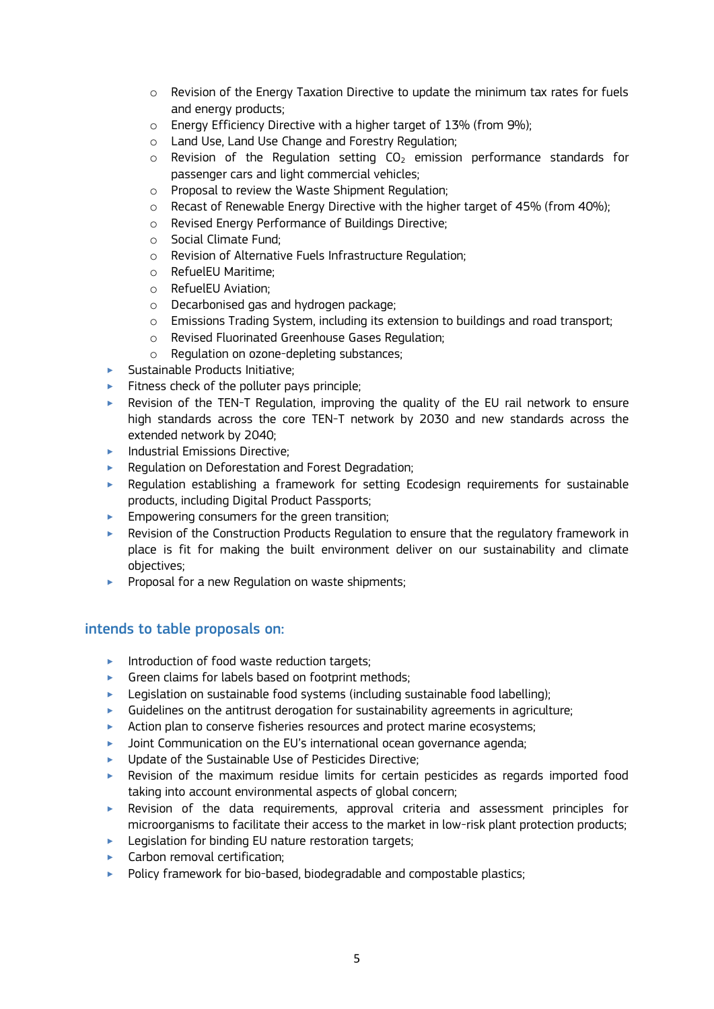- o Revision of the Energy Taxation Directive to update the minimum tax rates for fuels and energy products;
- $\circ$  Energy Efficiency Directive with a higher target of 13% (from 9%);
- o Land Use, Land Use Change and Forestry Regulation;
- $\circ$  Revision of the Regulation setting CO<sub>2</sub> emission performance standards for passenger cars and light commercial vehicles;
- o Proposal to review the Waste Shipment Regulation;
- $\circ$  Recast of Renewable Energy Directive with the higher target of 45% (from 40%);
- o Revised Energy Performance of Buildings Directive;
- o Social Climate Fund;
- o Revision of Alternative Fuels Infrastructure Regulation;
- o RefuelEU Maritime;
- o RefuelEU Aviation;
- o Decarbonised gas and hydrogen package;
- o Emissions Trading System, including its extension to buildings and road transport;
- o Revised Fluorinated Greenhouse Gases Regulation;
- o Regulation on ozone-depleting substances;
- ‣ Sustainable Products Initiative;
- $\blacktriangleright$  Fitness check of the polluter pays principle;
- ‣ Revision of the TEN-T Regulation, improving the quality of the EU rail network to ensure high standards across the core TEN-T network by 2030 and new standards across the extended network by 2040;
- $\blacktriangleright$  Industrial Emissions Directive:
- ▶ Regulation on Deforestation and Forest Degradation;
- ‣ Regulation establishing a framework for setting Ecodesign requirements for sustainable products, including Digital Product Passports;
- $\blacktriangleright$  Empowering consumers for the green transition;
- ‣ Revision of the Construction Products Regulation to ensure that the regulatory framework in place is fit for making the built environment deliver on our sustainability and climate objectives;
- **Proposal for a new Regulation on waste shipments;**

## intends to table proposals on:

- $\blacktriangleright$  Introduction of food waste reduction targets;
- **•** Green claims for labels based on footprint methods;
- ‣ Legislation on sustainable food systems (including sustainable food labelling);
- $\blacktriangleright$  Guidelines on the antitrust derogation for sustainability agreements in agriculture;
- ▶ Action plan to conserve fisheries resources and protect marine ecosystems;
- $\blacktriangleright$  Joint Communication on the EU's international ocean governance agenda;
- ‣ Update of the Sustainable Use of Pesticides Directive;
- ‣ Revision of the maximum residue limits for certain pesticides as regards imported food taking into account environmental aspects of global concern;
- ‣ Revision of the data requirements, approval criteria and assessment principles for microorganisms to facilitate their access to the market in low-risk plant protection products;
- $\blacktriangleright$  Legislation for binding EU nature restoration targets;
- **Exercise Carbon removal certification;**
- $\blacktriangleright$  Policy framework for bio-based, biodegradable and compostable plastics;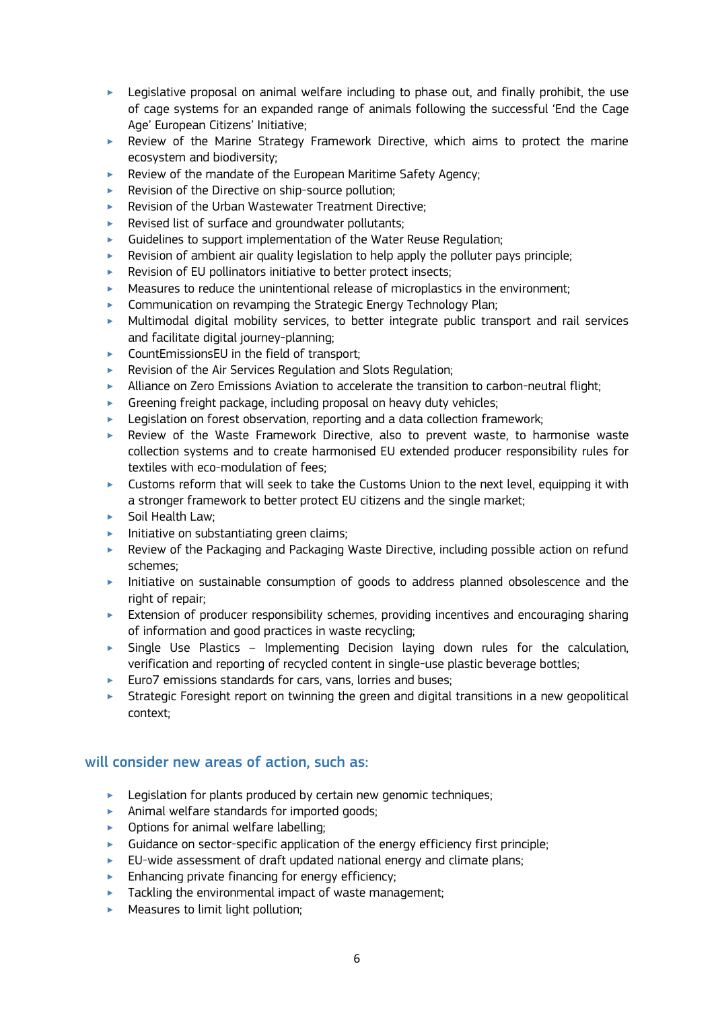- $\blacktriangleright$  Legislative proposal on animal welfare including to phase out, and finally prohibit, the use of cage systems for an expanded range of animals following the successful 'End the Cage Age' European Citizens' Initiative;
- ‣ Review of the Marine Strategy Framework Directive, which aims to protect the marine ecosystem and biodiversity;
- $\blacktriangleright$  Review of the mandate of the European Maritime Safety Agency;
- ▶ Revision of the Directive on ship-source pollution;
- ‣ Revision of the Urban Wastewater Treatment Directive;
- $\blacktriangleright$  Revised list of surface and groundwater pollutants;
- ‣ Guidelines to support implementation of the Water Reuse Regulation;
- ‣ Revision of ambient air quality legislation to help apply the polluter pays principle;
- $\blacktriangleright$  Revision of EU pollinators initiative to better protect insects:
- Measures to reduce the unintentional release of microplastics in the environment;
- **EXECOMMUNICATED COMMUNICATED IN A TENNIFICATE COMMUNICATE:** Communication on revamping the Strategic Energy Technology Plan;
- ‣ Multimodal digital mobility services, to better integrate public transport and rail services and facilitate digital journey-planning;
- $\triangleright$  CountEmissionsEU in the field of transport:
- **EXECT:** Revision of the Air Services Regulation and Slots Regulation;
- ‣ Alliance on Zero Emissions Aviation to accelerate the transition to carbon-neutral flight;
- $\blacktriangleright$  Greening freight package, including proposal on heavy duty vehicles;
- ► Legislation on forest observation, reporting and a data collection framework;
- ‣ Review of the Waste Framework Directive, also to prevent waste, to harmonise waste collection systems and to create harmonised EU extended producer responsibility rules for textiles with eco-modulation of fees;
- $\blacktriangleright$  Customs reform that will seek to take the Customs Union to the next level, equipping it with a stronger framework to better protect EU citizens and the single market;
- ▶ Soil Health Law;
- $\blacktriangleright$  Initiative on substantiating green claims;
- ‣ Review of the Packaging and Packaging Waste Directive, including possible action on refund schemes;
- ‣ Initiative on sustainable consumption of goods to address planned obsolescence and the right of repair:
- $\blacktriangleright$  Extension of producer responsibility schemes, providing incentives and encouraging sharing of information and good practices in waste recycling;
- $\triangleright$  Single Use Plastics Implementing Decision laying down rules for the calculation, verification and reporting of recycled content in single-use plastic beverage bottles;
- ▶ Euro7 emissions standards for cars, vans, lorries and buses;
- $\triangleright$  Strategic Foresight report on twinning the green and digital transitions in a new geopolitical context;

- $\blacktriangleright$  Legislation for plants produced by certain new genomic techniques;
- ‣ Animal welfare standards for imported goods;
- **•** Options for animal welfare labelling;
- $\blacktriangleright$  Guidance on sector-specific application of the energy efficiency first principle;
- $\blacktriangleright$  EU-wide assessment of draft updated national energy and climate plans;
- $\blacktriangleright$  Enhancing private financing for energy efficiency;
- $\blacktriangleright$  Tackling the environmental impact of waste management;
- $\blacktriangleright$  Measures to limit light pollution;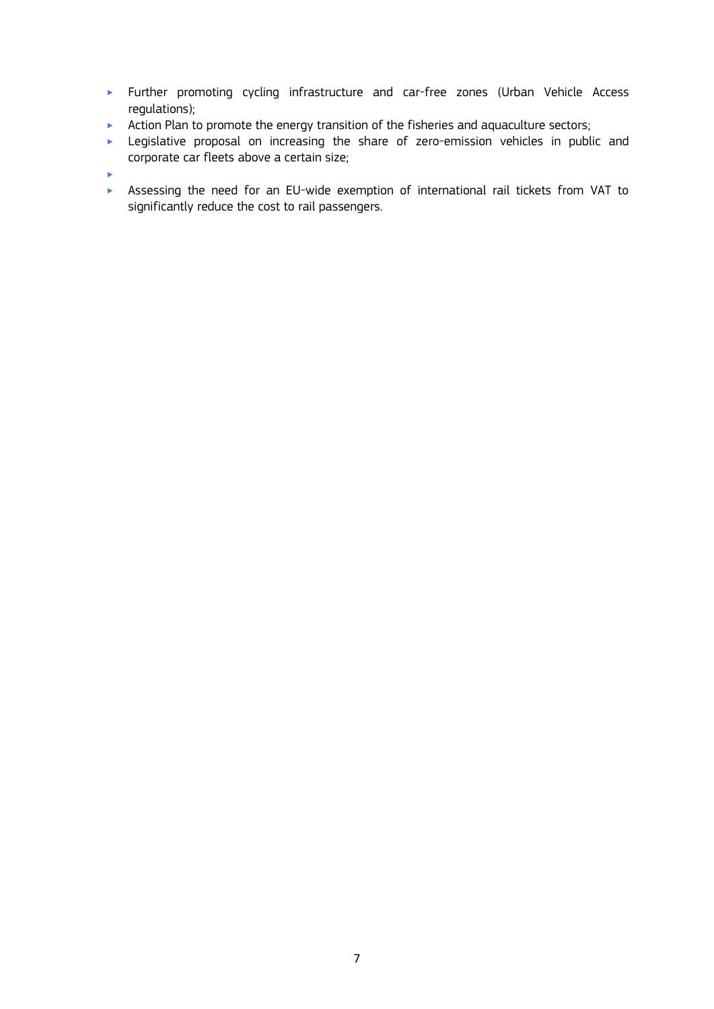- ‣ Further promoting cycling infrastructure and car-free zones (Urban Vehicle Access regulations);
- **EXECT** Action Plan to promote the energy transition of the fisheries and aquaculture sectors;
- ‣ Legislative proposal on increasing the share of zero-emission vehicles in public and corporate car fleets above a certain size;
- $\blacktriangleright$
- ‣ Assessing the need for an EU-wide exemption of international rail tickets from VAT to significantly reduce the cost to rail passengers.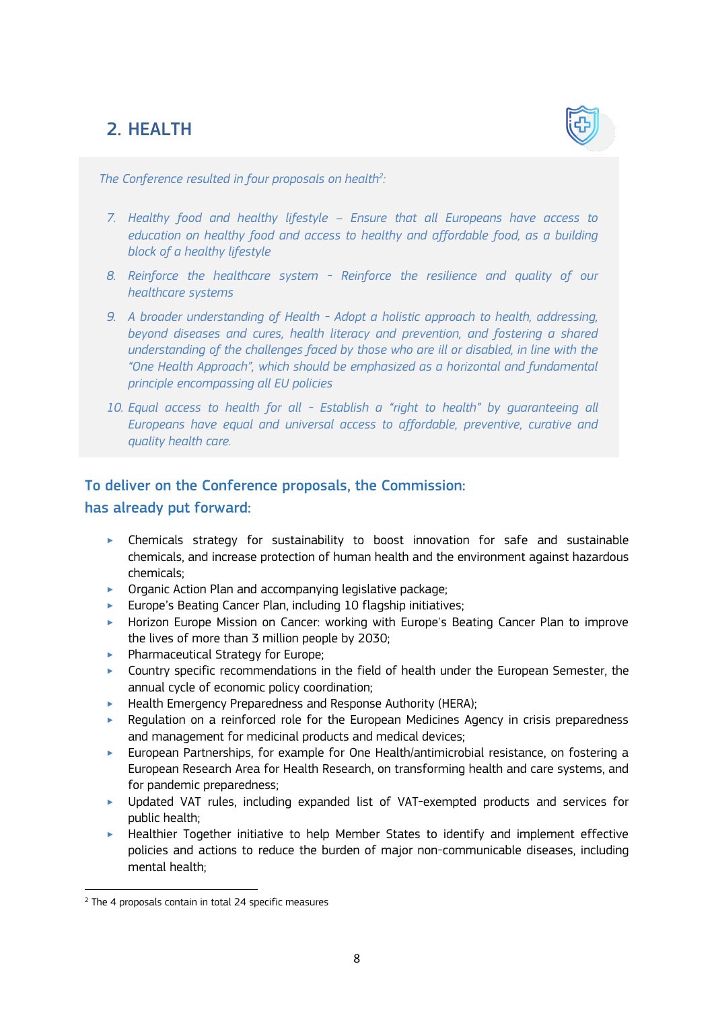# 2. HEALTH



*The Conference resulted in four proposals on health<sup>2</sup> :*

- *7. Healthy food and healthy lifestyle – Ensure that all Europeans have access to education on healthy food and access to healthy and affordable food, as a building block of a healthy lifestyle*
- *8. Reinforce the healthcare system - Reinforce the resilience and quality of our healthcare systems*
- *9. A broader understanding of Health - Adopt a holistic approach to health, addressing, beyond diseases and cures, health literacy and prevention, and fostering a shared understanding of the challenges faced by those who are ill or disabled, in line with the "One Health Approach", which should be emphasized as a horizontal and fundamental principle encompassing all EU policies*
- *10. Equal access to health for all - Establish a "right to health" by guaranteeing all Europeans have equal and universal access to affordable, preventive, curative and quality health care.*

## To deliver on the Conference proposals, the Commission:

has already put forward:

- ‣ Chemicals strategy for sustainability to boost innovation for safe and sustainable chemicals, and increase protection of human health and the environment against hazardous chemicals;
- $\triangleright$  Organic Action Plan and accompanying legislative package;
- ‣ Europe's Beating Cancer Plan, including 10 flagship initiatives;
- ‣ Horizon Europe Mission on Cancer: working with Europe's Beating Cancer Plan to improve the lives of more than 3 million people by 2030;
- ▶ Pharmaceutical Strategy for Europe;
- ‣ Country specific recommendations in the field of health under the European Semester, the annual cycle of economic policy coordination;
- ▶ Health Emergency Preparedness and Response Authority (HERA);
- ‣ Regulation on a reinforced role for the European Medicines Agency in crisis preparedness and management for medicinal products and medical devices;
- ‣ European Partnerships, for example for One Health/antimicrobial resistance, on fostering a European Research Area for Health Research, on transforming health and care systems, and for pandemic preparedness;
- ‣ Updated VAT rules, including expanded list of VAT-exempted products and services for public health;
- ‣ Healthier Together initiative to help Member States to identify and implement effective policies and actions to reduce the burden of major non-communicable diseases, including mental health;

<sup>1</sup> <sup>2</sup> The 4 proposals contain in total 24 specific measures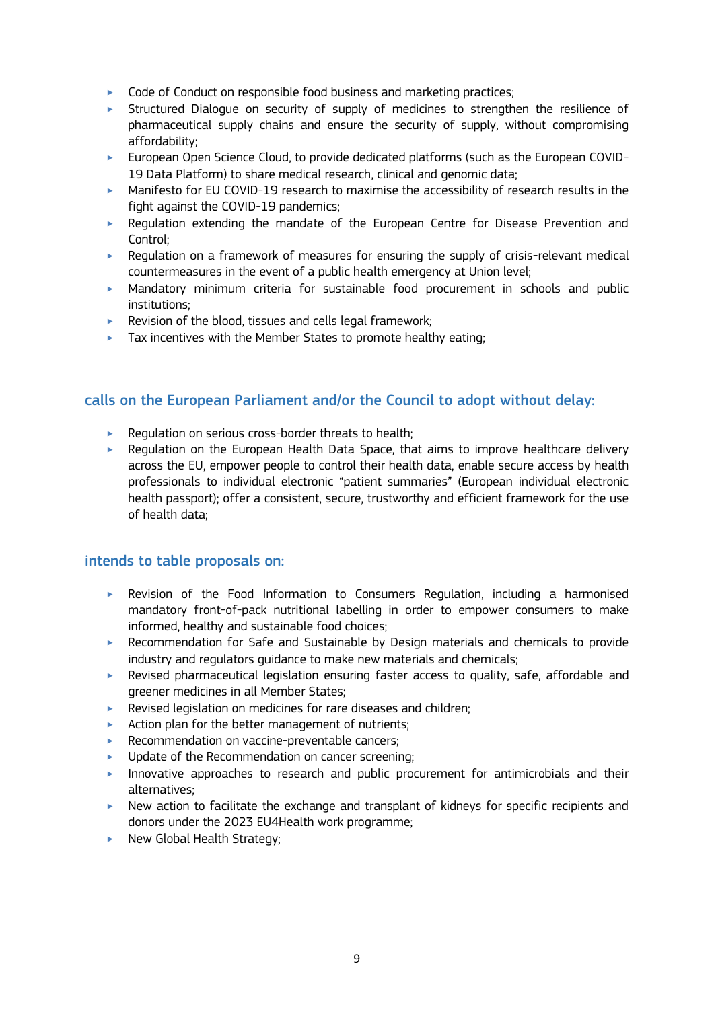- ▶ Code of Conduct on responsible food business and marketing practices;
- ‣ Structured Dialogue on security of supply of medicines to strengthen the resilience of pharmaceutical supply chains and ensure the security of supply, without compromising affordability;
- ‣ European Open Science Cloud, to provide dedicated platforms (such as the European COVID-19 Data Platform) to share medical research, clinical and genomic data;
- ‣ Manifesto for EU COVID-19 research to maximise the accessibility of research results in the fight against the COVID-19 pandemics;
- ‣ Regulation extending the mandate of the European Centre for Disease Prevention and Control;
- ‣ Regulation on a framework of measures for ensuring the supply of crisis-relevant medical countermeasures in the event of a public health emergency at Union level;
- ‣ Mandatory minimum criteria for sustainable food procurement in schools and public institutions;
- $\blacktriangleright$  Revision of the blood, tissues and cells legal framework;
- $\blacktriangleright$  Tax incentives with the Member States to promote healthy eating:

- ▶ Regulation on serious cross-border threats to health;
- ‣ Regulation on the European Health Data Space, that aims to improve healthcare delivery across the EU, empower people to control their health data, enable secure access by health professionals to individual electronic "patient summaries" (European individual electronic health passport); offer a consistent, secure, trustworthy and efficient framework for the use of health data;

## intends to table proposals on:

- ‣ Revision of the Food Information to Consumers Regulation, including a harmonised mandatory front-of-pack nutritional labelling in order to empower consumers to make informed, healthy and sustainable food choices;
- ‣ Recommendation for Safe and Sustainable by Design materials and chemicals to provide industry and regulators guidance to make new materials and chemicals;
- ‣ Revised pharmaceutical legislation ensuring faster access to quality, safe, affordable and greener medicines in all Member States;
- ‣ Revised legislation on medicines for rare diseases and children;
- $\blacktriangleright$  Action plan for the better management of nutrients;
- ▶ Recommendation on vaccine-preventable cancers;
- ‣ Update of the Recommendation on cancer screening;
- $\blacktriangleright$  Innovative approaches to research and public procurement for antimicrobials and their alternatives;
- ‣ New action to facilitate the exchange and transplant of kidneys for specific recipients and donors under the 2023 EU4Health work programme;
- $\blacktriangleright$  New Global Health Strategy;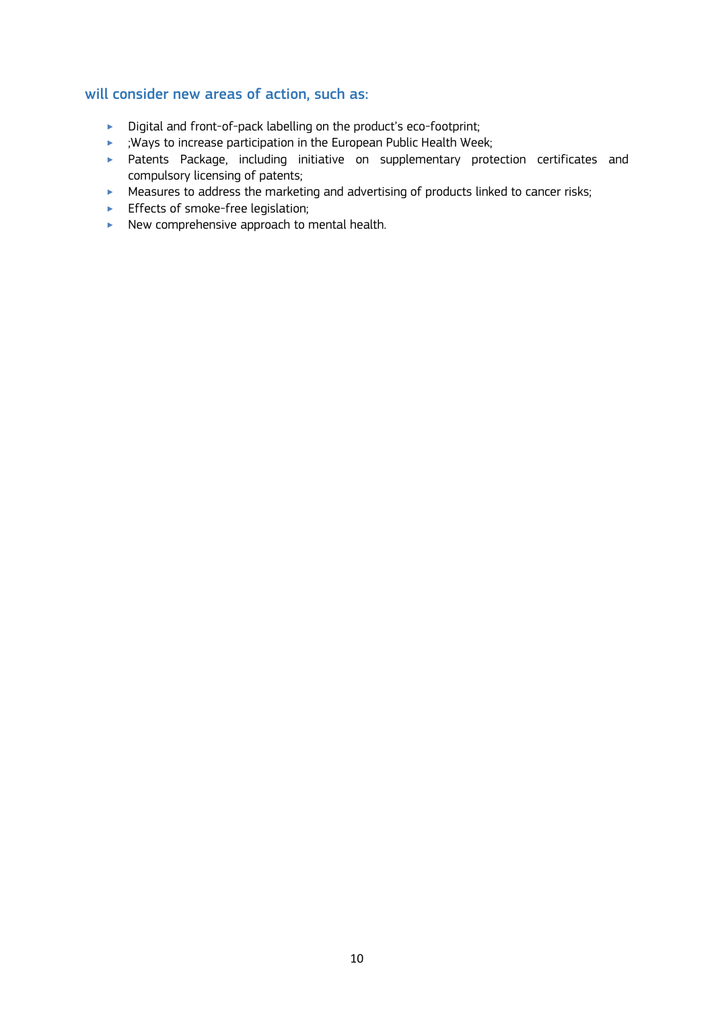- ‣ Digital and front-of-pack labelling on the product's eco-footprint;
- ‣ ;Ways to increase participation in the European Public Health Week;
- ‣ Patents Package, including initiative on supplementary protection certificates and compulsory licensing of patents;
- ▶ Measures to address the marketing and advertising of products linked to cancer risks;
- **Effects of smoke-free legislation;**
- ▶ New comprehensive approach to mental health.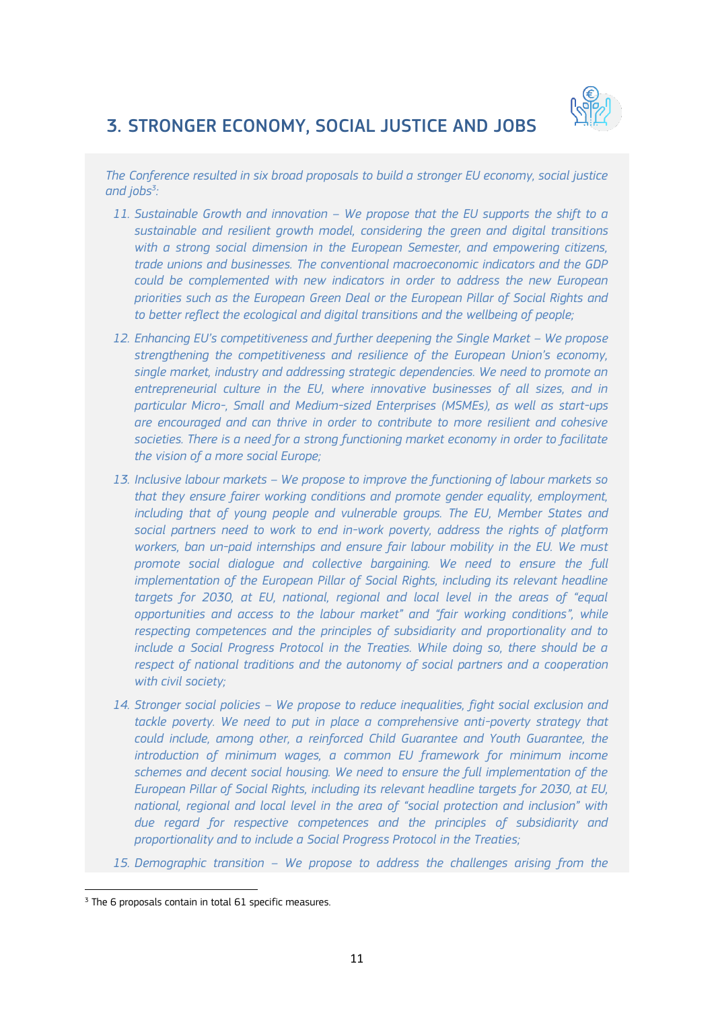

# 3. STRONGER ECONOMY, SOCIAL JUSTICE AND JOBS

*The Conference resulted in six broad proposals to build a stronger EU economy, social justice and jobs<sup>3</sup> :* 

- *11. Sustainable Growth and innovation – We propose that the EU supports the shift to a sustainable and resilient growth model, considering the green and digital transitions with a strong social dimension in the European Semester, and empowering citizens, trade unions and businesses. The conventional macroeconomic indicators and the GDP could be complemented with new indicators in order to address the new European priorities such as the European Green Deal or the European Pillar of Social Rights and to better reflect the ecological and digital transitions and the wellbeing of people;*
- *12. Enhancing EU's competitiveness and further deepening the Single Market – We propose strengthening the competitiveness and resilience of the European Union's economy, single market, industry and addressing strategic dependencies. We need to promote an entrepreneurial culture in the EU, where innovative businesses of all sizes, and in particular Micro-, Small and Medium-sized Enterprises (MSMEs), as well as start-ups are encouraged and can thrive in order to contribute to more resilient and cohesive societies. There is a need for a strong functioning market economy in order to facilitate the vision of a more social Europe;*
- *13. Inclusive labour markets – We propose to improve the functioning of labour markets so that they ensure fairer working conditions and promote gender equality, employment, including that of young people and vulnerable groups. The EU, Member States and social partners need to work to end in-work poverty, address the rights of platform workers, ban un-paid internships and ensure fair labour mobility in the EU. We must promote social dialogue and collective bargaining. We need to ensure the full implementation of the European Pillar of Social Rights, including its relevant headline targets for 2030, at EU, national, regional and local level in the areas of "equal opportunities and access to the labour market" and "fair working conditions", while respecting competences and the principles of subsidiarity and proportionality and to include a Social Progress Protocol in the Treaties. While doing so, there should be a respect of national traditions and the autonomy of social partners and a cooperation with civil society;*
- *14. Stronger social policies – We propose to reduce inequalities, fight social exclusion and*  tackle poverty. We need to put in place a comprehensive anti-poverty strategy that *could include, among other, a reinforced Child Guarantee and Youth Guarantee, the introduction of minimum wages, a common EU framework for minimum income schemes and decent social housing. We need to ensure the full implementation of the European Pillar of Social Rights, including its relevant headline targets for 2030, at EU, national, regional and local level in the area of "social protection and inclusion" with due regard for respective competences and the principles of subsidiarity and proportionality and to include a Social Progress Protocol in the Treaties;*
- *15. Demographic transition – We propose to address the challenges arising from the*

<sup>&</sup>lt;sup>3</sup> The 6 proposals contain in total 61 specific measures.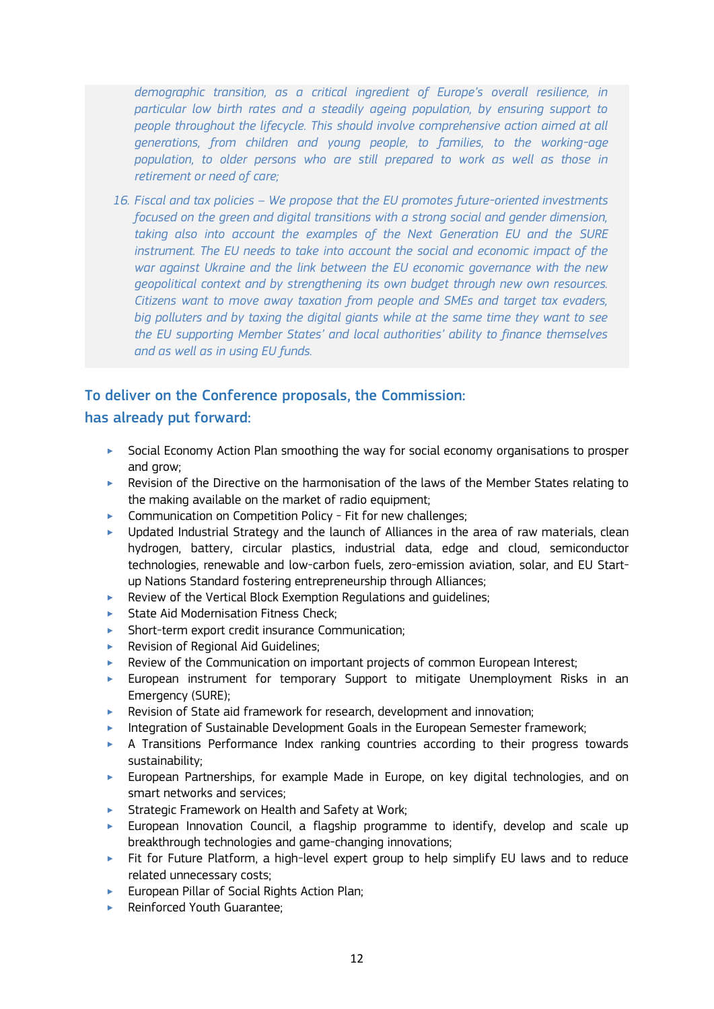*demographic transition, as a critical ingredient of Europe's overall resilience, in particular low birth rates and a steadily ageing population, by ensuring support to people throughout the lifecycle. This should involve comprehensive action aimed at all generations, from children and young people, to families, to the working-age*  population, to older persons who are still prepared to work as well as those in *retirement or need of care;*

*16. Fiscal and tax policies – We propose that the EU promotes future-oriented investments focused on the green and digital transitions with a strong social and gender dimension, taking also into account the examples of the Next Generation EU and the SURE instrument. The EU needs to take into account the social and economic impact of the war against Ukraine and the link between the EU economic governance with the new geopolitical context and by strengthening its own budget through new own resources. Citizens want to move away taxation from people and SMEs and target tax evaders, big polluters and by taxing the digital giants while at the same time they want to see the EU supporting Member States' and local authorities' ability to finance themselves and as well as in using EU funds.*

## To deliver on the Conference proposals, the Commission:

## has already put forward:

- ‣ Social Economy Action Plan smoothing the way for social economy organisations to prosper and grow;
- $\blacktriangleright$  Revision of the Directive on the harmonisation of the laws of the Member States relating to the making available on the market of radio equipment;
- ▶ Communication on Competition Policy Fit for new challenges;
- $\blacktriangleright$  Updated Industrial Strategy and the launch of Alliances in the area of raw materials, clean hydrogen, battery, circular plastics, industrial data, edge and cloud, semiconductor technologies, renewable and low-carbon fuels, zero-emission aviation, solar, and EU Startup Nations Standard fostering entrepreneurship through Alliances;
- ‣ Review of the Vertical Block Exemption Regulations and guidelines;
- ▶ State Aid Modernisation Fitness Check:
- ‣ Short-term export credit insurance Communication;
- ▶ Revision of Regional Aid Guidelines;
- ‣ Review of the Communication on important projects of common European Interest;
- ‣ European instrument for temporary Support to mitigate Unemployment Risks in an Emergency (SURE);
- ‣ Revision of State aid framework for research, development and innovation;
- ‣ Integration of Sustainable Development Goals in the European Semester framework;
- ‣ A Transitions Performance Index ranking countries according to their progress towards sustainability;
- ‣ European Partnerships, for example Made in Europe, on key digital technologies, and on smart networks and services;
- ▶ Strategic Framework on Health and Safety at Work;
- ‣ European Innovation Council, a flagship programme to identify, develop and scale up breakthrough technologies and game-changing innovations;
- ‣ Fit for Future Platform, a high-level expert group to help simplify EU laws and to reduce related unnecessary costs;
- ‣ European Pillar of Social Rights Action Plan;
- ‣ Reinforced Youth Guarantee;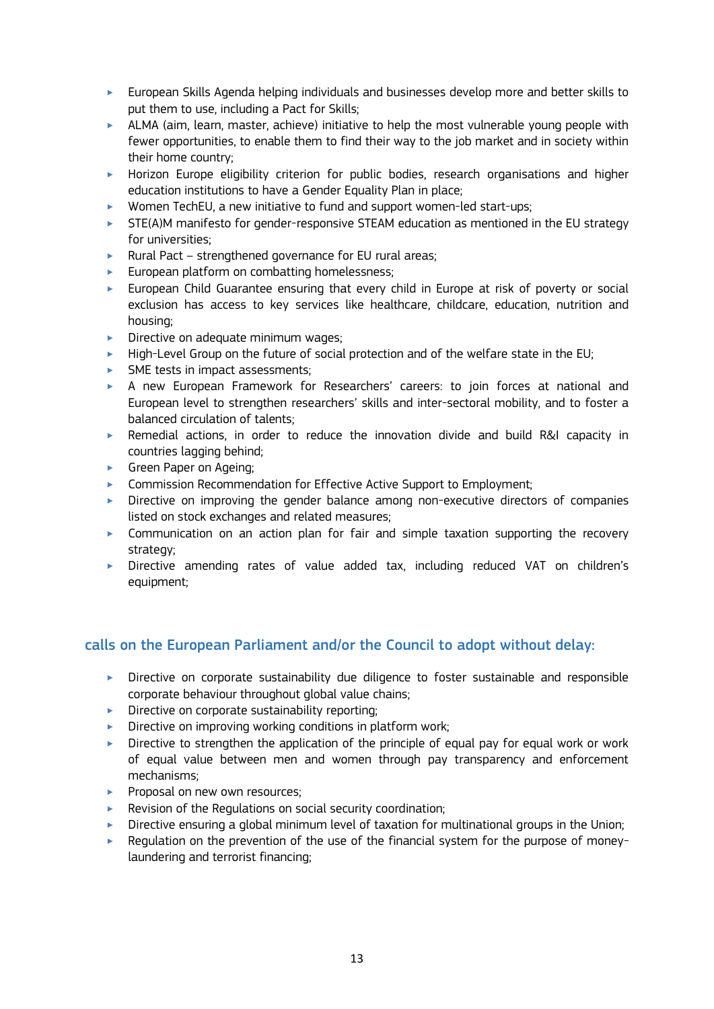- ‣ European Skills Agenda helping individuals and businesses develop more and better skills to put them to use, including a Pact for Skills;
- $\blacktriangleright$  ALMA (aim, learn, master, achieve) initiative to help the most vulnerable young people with fewer opportunities, to enable them to find their way to the job market and in society within their home country;
- ‣ Horizon Europe eligibility criterion for public bodies, research organisations and higher education institutions to have a Gender Equality Plan in place;
- ‣ Women TechEU, a new initiative to fund and support women-led start-ups;
- $\triangleright$  STE(A)M manifesto for gender-responsive STEAM education as mentioned in the EU strategy for universities;
- ‣ Rural Pact strengthened governance for EU rural areas;
- **European platform on combatting homelessness;**
- ‣ European Child Guarantee ensuring that every child in Europe at risk of poverty or social exclusion has access to key services like healthcare, childcare, education, nutrition and housing;
- $\triangleright$  Directive on adequate minimum wages:
- $\blacktriangleright$  High-Level Group on the future of social protection and of the welfare state in the EU;
- SME tests in impact assessments;
- ‣ A new European Framework for Researchers' careers: to join forces at national and European level to strengthen researchers' skills and inter-sectoral mobility, and to foster a balanced circulation of talents;
- $\triangleright$  Remedial actions, in order to reduce the innovation divide and build R&I capacity in countries lagging behind;
- **Siden Paper on Ageing;**
- ► Commission Recommendation for Effective Active Support to Employment;
- $\triangleright$  Directive on improving the gender balance among non-executive directors of companies listed on stock exchanges and related measures;
- ‣ Communication on an action plan for fair and simple taxation supporting the recovery strategy;
- ‣ Directive amending rates of value added tax, including reduced VAT on children's equipment;

- ‣ Directive on corporate sustainability due diligence to foster sustainable and responsible corporate behaviour throughout global value chains;
- $\blacktriangleright$  Directive on corporate sustainability reporting;
- $\triangleright$  Directive on improving working conditions in platform work;
- $\triangleright$  Directive to strengthen the application of the principle of equal pay for equal work or work of equal value between men and women through pay transparency and enforcement mechanisms;
- **Proposal on new own resources;**
- ‣ Revision of the Regulations on social security coordination;
- $\triangleright$  Directive ensuring a global minimum level of taxation for multinational groups in the Union;
- ‣ Regulation on the prevention of the use of the financial system for the purpose of moneylaundering and terrorist financing;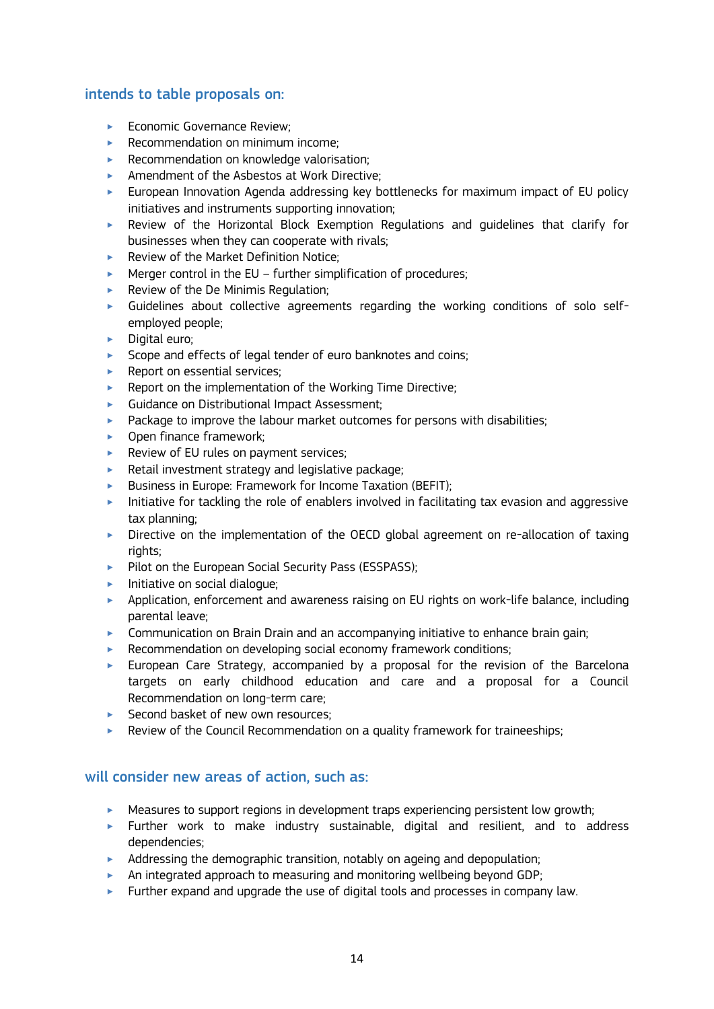## intends to table proposals on:

- ▶ Economic Governance Review:
- $\blacktriangleright$  Recommendation on minimum income:
- ▶ Recommendation on knowledge valorisation;
- ‣ Amendment of the Asbestos at Work Directive;
- ‣ European Innovation Agenda addressing key bottlenecks for maximum impact of EU policy initiatives and instruments supporting innovation;
- ‣ Review of the Horizontal Block Exemption Regulations and guidelines that clarify for businesses when they can cooperate with rivals;
- ▶ Review of the Market Definition Notice:
- $\blacktriangleright$  Merger control in the EU further simplification of procedures;
- $\blacktriangleright$  Review of the De Minimis Regulation;
- $\blacktriangleright$  Guidelines about collective agreements regarding the working conditions of solo selfemployed people;
- $\blacktriangleright$  Digital euro;
- Scope and effects of legal tender of euro banknotes and coins;
- $\blacktriangleright$  Report on essential services:
- ▶ Report on the implementation of the Working Time Directive:
- ‣ Guidance on Distributional Impact Assessment;
- $\blacktriangleright$  Package to improve the labour market outcomes for persons with disabilities;
- ▶ Open finance framework;
- ▶ Review of EU rules on payment services;
- $\blacktriangleright$  Retail investment strategy and legislative package;
- ▶ Business in Europe: Framework for Income Taxation (BEFIT);
- $\blacktriangleright$  Initiative for tackling the role of enablers involved in facilitating tax evasion and aggressive tax planning;
- ‣ Directive on the implementation of the OECD global agreement on re-allocation of taxing rights:
- Pilot on the European Social Security Pass (ESSPASS);
- $\blacktriangleright$  Initiative on social dialogue;
- ‣ Application, enforcement and awareness raising on EU rights on work-life balance, including parental leave;
- **EXECOMMUNICATION ON Brain Drain and an accompanying initiative to enhance brain gain;**
- ▶ Recommendation on developing social economy framework conditions;
- $\blacktriangleright$  European Care Strategy, accompanied by a proposal for the revision of the Barcelona targets on early childhood education and care and a proposal for a Council Recommendation on long-term care;
- ▶ Second basket of new own resources;
- ‣ Review of the Council Recommendation on a quality framework for traineeships;

- $\blacktriangleright$  Measures to support regions in development traps experiencing persistent low growth;
- ‣ Further work to make industry sustainable, digital and resilient, and to address dependencies;
- $\blacktriangleright$  Addressing the demographic transition, notably on ageing and depopulation;
- $\blacktriangleright$  An integrated approach to measuring and monitoring wellbeing beyond GDP;
- $\blacktriangleright$  Further expand and upgrade the use of digital tools and processes in company law.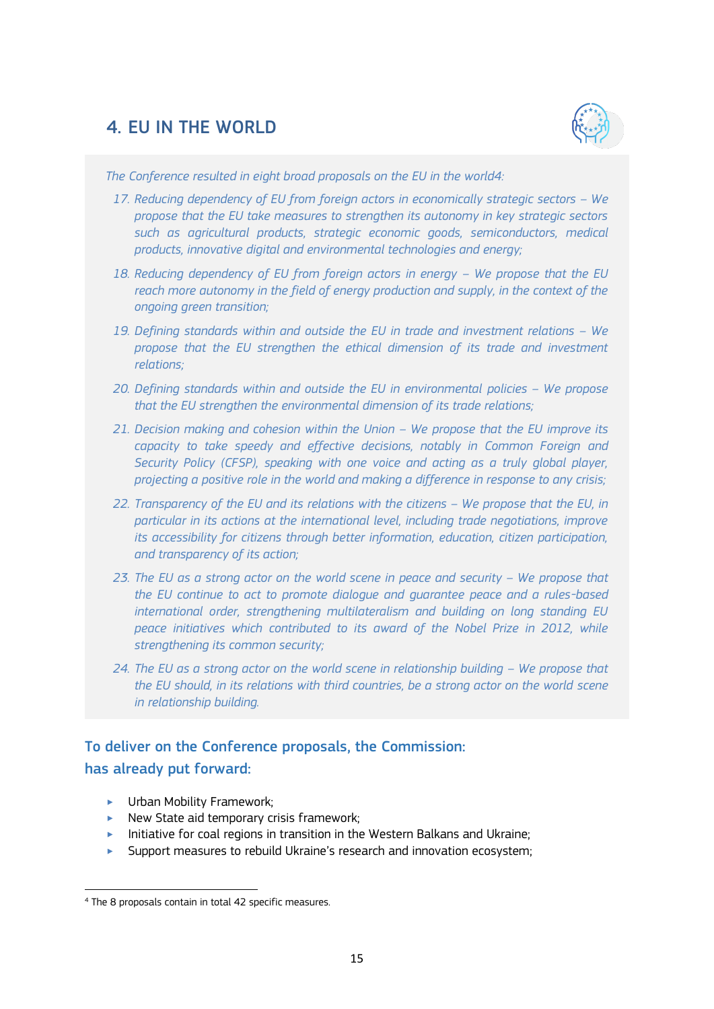## 4. EU IN THE WORLD



*The Conference resulted in eight broad proposals on the EU in the world4:* 

- 17. Reducing dependency of EU from foreign actors in economically strategic sectors We *propose that the EU take measures to strengthen its autonomy in key strategic sectors such as agricultural products, strategic economic goods, semiconductors, medical products, innovative digital and environmental technologies and energy;*
- 18. Reducing dependency of EU from foreign actors in energy We propose that the EU *reach more autonomy in the field of energy production and supply, in the context of the ongoing green transition;*
- 19. Defining standards within and outside the EU in trade and investment relations We *propose that the EU strengthen the ethical dimension of its trade and investment relations;*
- *20. Defining standards within and outside the EU in environmental policies – We propose that the EU strengthen the environmental dimension of its trade relations;*
- *21. Decision making and cohesion within the Union – We propose that the EU improve its capacity to take speedy and effective decisions, notably in Common Foreign and Security Policy (CFSP), speaking with one voice and acting as a truly global player, projecting a positive role in the world and making a difference in response to any crisis;*
- *22. Transparency of the EU and its relations with the citizens – We propose that the EU, in particular in its actions at the international level, including trade negotiations, improve its accessibility for citizens through better information, education, citizen participation, and transparency of its action;*
- 23. The EU as a strong actor on the world scene in peace and security We propose that *the EU continue to act to promote dialogue and guarantee peace and a rules-based international order, strengthening multilateralism and building on long standing EU peace initiatives which contributed to its award of the Nobel Prize in 2012, while strengthening its common security;*
- 24. The EU as a strong actor on the world scene in relationship building We propose that *the EU should, in its relations with third countries, be a strong actor on the world scene in relationship building.*

## To deliver on the Conference proposals, the Commission: has already put forward:

**EXECUTE:** Urban Mobility Framework;

- $\blacktriangleright$  New State aid temporary crisis framework;
- $\blacktriangleright$  Initiative for coal regions in transition in the Western Balkans and Ukraine;
- Support measures to rebuild Ukraine's research and innovation ecosystem;

<sup>4</sup> The 8 proposals contain in total 42 specific measures.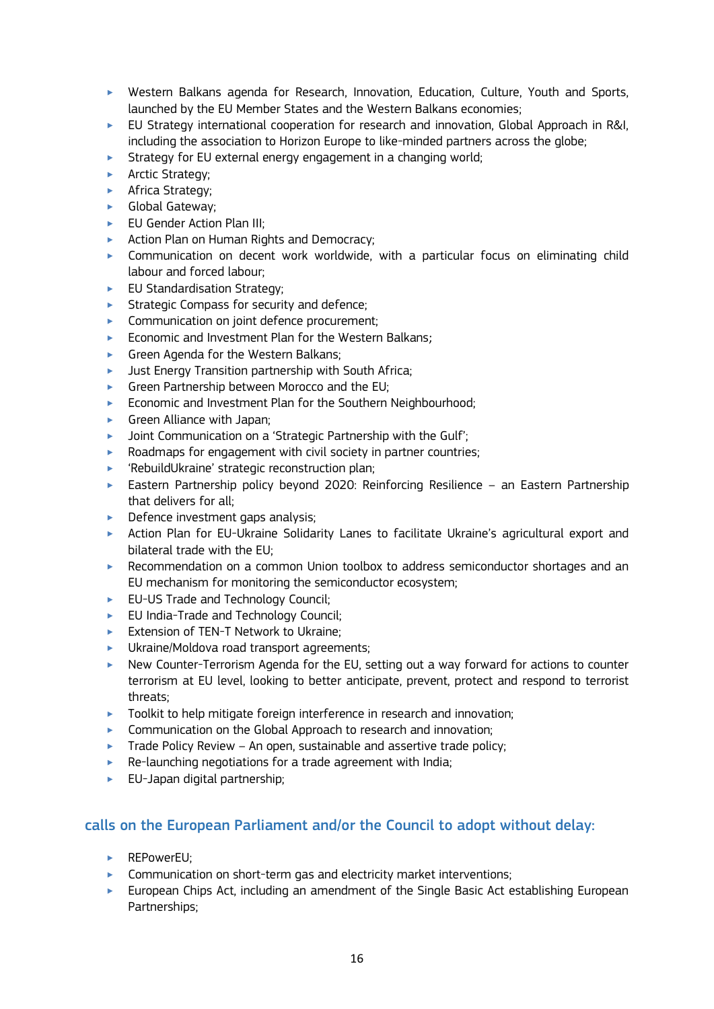- ‣ Western Balkans agenda for Research, Innovation, Education, Culture, Youth and Sports, launched by the EU Member States and the Western Balkans economies;
- ‣ EU Strategy international cooperation for research and innovation, Global Approach in R&I, including the association to Horizon Europe to like-minded partners across the globe;
- $\triangleright$  Strategy for EU external energy engagement in a changing world;
- **EXECUTE:** Arctic Strategy;
- **EXEC** Africa Strategy;
- **S** Global Gateway;
- ► EU Gender Action Plan III;
- ▶ Action Plan on Human Rights and Democracy:
- ‣ Communication on decent work worldwide, with a particular focus on eliminating child labour and forced labour;
- **EU Standardisation Strategy;**
- **EXECUTE:** Strategic Compass for security and defence;
- **EXECOMMUNICATION ON joint defence procurement;**
- ‣ Economic and Investment Plan for the Western Balkans;
- ‣ Green Agenda for the Western Balkans;
- $\blacktriangleright$  Just Energy Transition partnership with South Africa:
- ▶ Green Partnership between Morocco and the EU;
- **Economic and Investment Plan for the Southern Neighbourhood;**
- $\blacktriangleright$  Green Alliance with Japan;
- **Joint Communication on a 'Strategic Partnership with the Gulf'**;
- $\blacktriangleright$  Roadmaps for engagement with civil society in partner countries;
- ‣ 'RebuildUkraine' strategic reconstruction plan;
- ‣ Eastern Partnership policy beyond 2020: Reinforcing Resilience an Eastern Partnership that delivers for all;
- $\triangleright$  Defence investment gaps analysis;
- ‣ Action Plan for EU-Ukraine Solidarity Lanes to facilitate Ukraine's agricultural export and bilateral trade with the EU;
- ‣ Recommendation on a common Union toolbox to address semiconductor shortages and an EU mechanism for monitoring the semiconductor ecosystem;
- ► EU-US Trade and Technology Council;
- $\blacktriangleright$  EU India-Trade and Technology Council:
- ► Extension of TEN-T Network to Ukraine;
- ‣ Ukraine/Moldova road transport agreements;
- ‣ New Counter-Terrorism Agenda for the EU, setting out a way forward for actions to counter terrorism at EU level, looking to better anticipate, prevent, protect and respond to terrorist threats;
- **Toolkit to help mitigate foreign interference in research and innovation;**
- $\triangleright$  Communication on the Global Approach to research and innovation:
- $\triangleright$  Trade Policy Review An open, sustainable and assertive trade policy;
- $\blacktriangleright$  Re-launching negotiations for a trade agreement with India;
- ‣ EU-Japan digital partnership;

- ▶ REPowerEU:
- ‣ Communication on short-term gas and electricity market interventions;
- ‣ European Chips Act, including an amendment of the Single Basic Act establishing European Partnerships;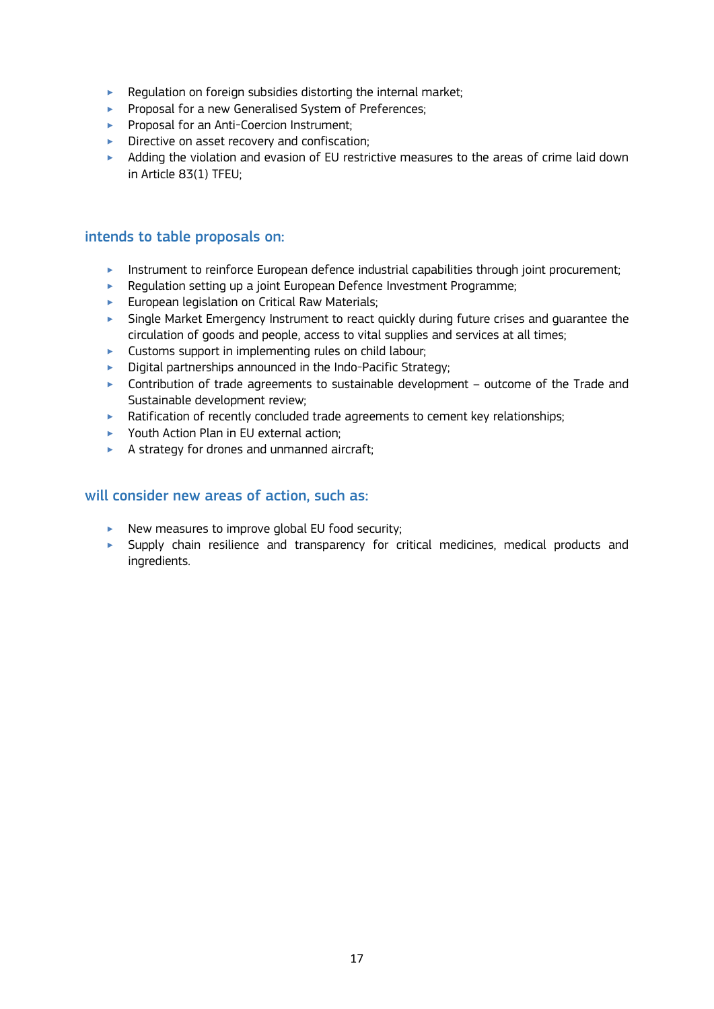- $\blacktriangleright$  Regulation on foreign subsidies distorting the internal market;
- **Proposal for a new Generalised System of Preferences;**
- **Proposal for an Anti-Coercion Instrument;**
- $\triangleright$  Directive on asset recovery and confiscation:
- $\blacktriangleright$  Adding the violation and evasion of EU restrictive measures to the areas of crime laid down in Article 83(1) TFEU;

## intends to table proposals on:

- $\blacktriangleright$  Instrument to reinforce European defence industrial capabilities through joint procurement;
- $\blacktriangleright$  Regulation setting up a joint European Defence Investment Programme;
- **European legislation on Critical Raw Materials;**
- ‣ Single Market Emergency Instrument to react quickly during future crises and guarantee the circulation of goods and people, access to vital supplies and services at all times;
- ‣ Customs support in implementing rules on child labour;
- $\triangleright$  Digital partnerships announced in the Indo-Pacific Strategy;
- $\triangleright$  Contribution of trade agreements to sustainable development outcome of the Trade and Sustainable development review;
- ‣ Ratification of recently concluded trade agreements to cement key relationships;
- ▶ Youth Action Plan in EU external action;
- ‣ A strategy for drones and unmanned aircraft;

- $\blacktriangleright$  New measures to improve global EU food security;
- $\blacktriangleright$  Supply chain resilience and transparency for critical medicines, medical products and ingredients.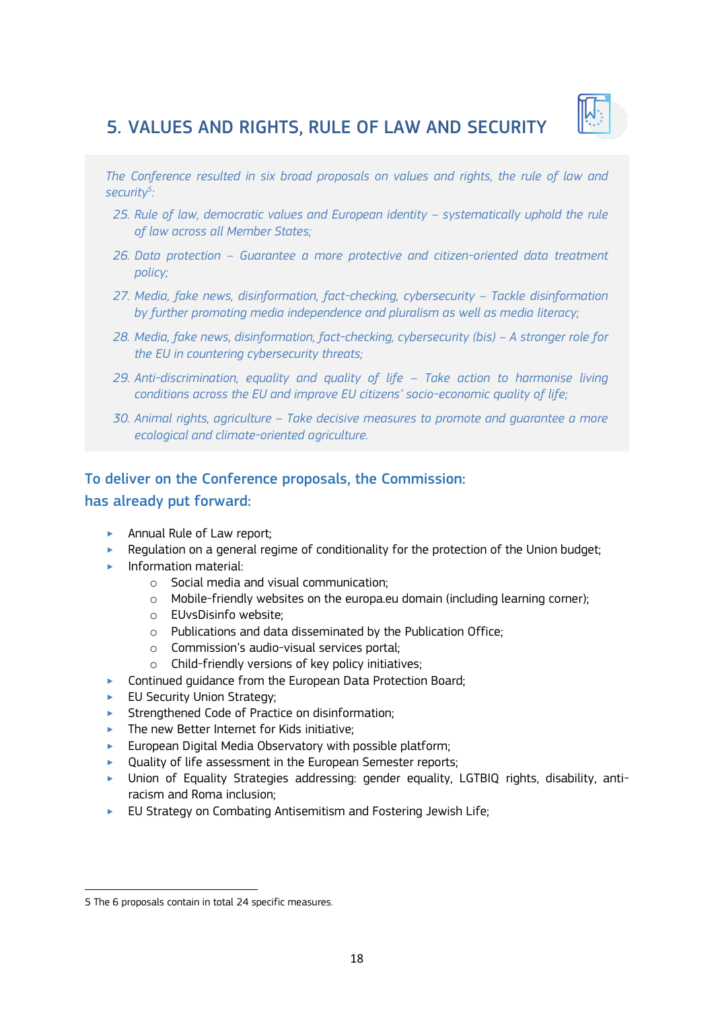

# 5. VALUES AND RIGHTS, RULE OF LAW AND SECURITY

*The Conference resulted in six broad proposals on values and rights, the rule of law and security<sup>5</sup> :* 

- 25. Rule of law, democratic values and European identity systematically uphold the rule *of law across all Member States;*
- *26. Data protection – Guarantee a more protective and citizen-oriented data treatment policy;*
- 27. Media, fake news, disinformation, fact-checking, cybersecurity Tackle disinformation *by further promoting media independence and pluralism as well as media literacy;*
- 28. Media, fake news, disinformation, fact-checking, cybersecurity (bis) A stronger role for *the EU in countering cybersecurity threats;*
- *29. Anti-discrimination, equality and quality of life – Take action to harmonise living conditions across the EU and improve EU citizens' socio-economic quality of life;*
- *30. Animal rights, agriculture – Take decisive measures to promote and guarantee a more ecological and climate-oriented agriculture.*

## To deliver on the Conference proposals, the Commission:

#### has already put forward:

- ▶ Annual Rule of Law report;
- ‣ Regulation on a general regime of conditionality for the protection of the Union budget;
- $\blacktriangleright$  Information material:
	- o Social media and visual communication;
	- $\circ$  Mobile-friendly websites on the europa.eu domain (including learning corner);
	- o EUvsDisinfo website;
	- o Publications and data disseminated by the Publication Office;
	- o Commission's audio-visual services portal;
	- o Child-friendly versions of key policy initiatives;
- **EXECONTERGY Continued guidance from the European Data Protection Board;**
- **EU Security Union Strategy;**
- **EXECTED** Strengthened Code of Practice on disinformation;
- $\blacktriangleright$  The new Better Internet for Kids initiative:
- $\blacktriangleright$  European Digital Media Observatory with possible platform;
- ▶ Quality of life assessment in the European Semester reports;
- ‣ Union of Equality Strategies addressing: gender equality, LGTBIQ rights, disability, antiracism and Roma inclusion;
- $\blacktriangleright$  EU Strategy on Combating Antisemitism and Fostering Jewish Life;

<sup>1</sup> 5 The 6 proposals contain in total 24 specific measures.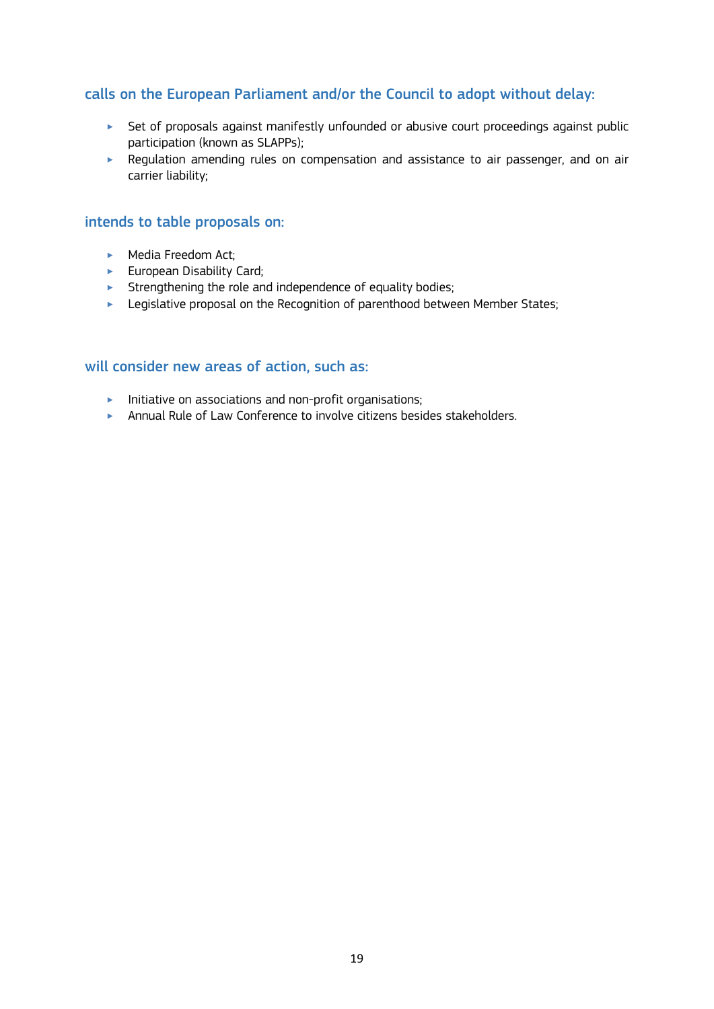- ‣ Set of proposals against manifestly unfounded or abusive court proceedings against public participation (known as SLAPPs);
- ‣ Regulation amending rules on compensation and assistance to air passenger, and on air carrier liability;

### intends to table proposals on:

- ▶ Media Freedom Act;
- $\blacktriangleright$  European Disability Card;
- $\blacktriangleright$  Strengthening the role and independence of equality bodies;
- **EXECTED FIRE 2018** Legislative proposal on the Recognition of parenthood between Member States;

- $\blacktriangleright$  Initiative on associations and non-profit organisations;
- ‣ Annual Rule of Law Conference to involve citizens besides stakeholders.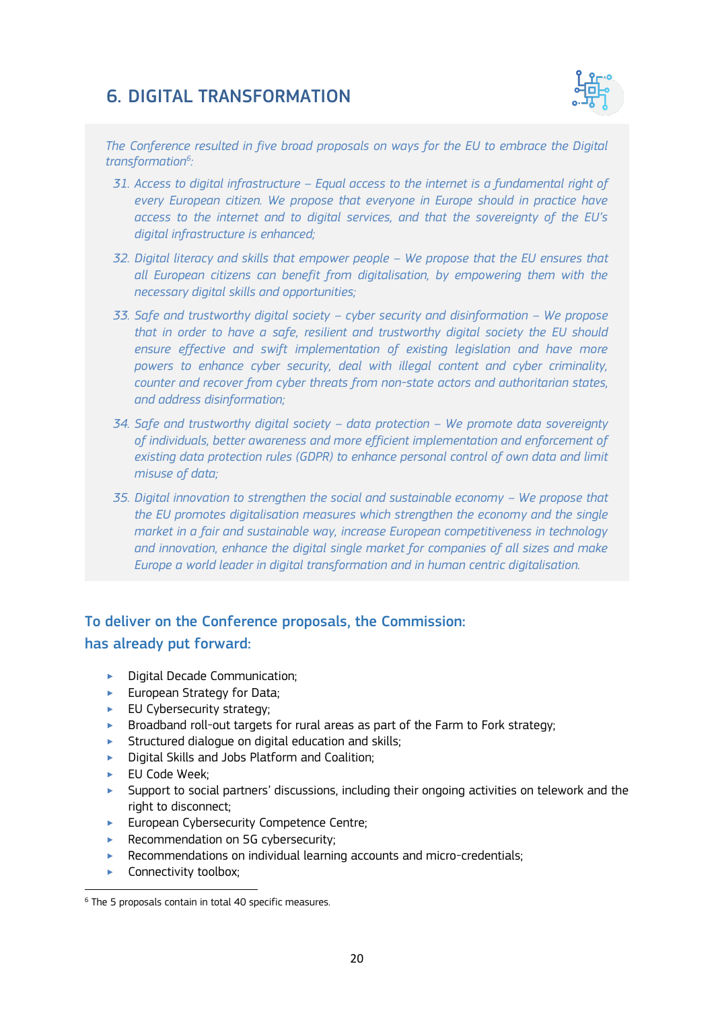## 6. DIGITAL TRANSFORMATION



*The Conference resulted in five broad proposals on ways for the EU to embrace the Digital transformation<sup>6</sup> :*

- *31. Access to digital infrastructure – Equal access to the internet is a fundamental right of every European citizen. We propose that everyone in Europe should in practice have access to the internet and to digital services, and that the sovereignty of the EU's digital infrastructure is enhanced;*
- *32. Digital literacy and skills that empower people – We propose that the EU ensures that all European citizens can benefit from digitalisation, by empowering them with the necessary digital skills and opportunities;*
- *33. Safe and trustworthy digital society – cyber security and disinformation – We propose that in order to have a safe, resilient and trustworthy digital society the EU should ensure effective and swift implementation of existing legislation and have more powers to enhance cyber security, deal with illegal content and cyber criminality, counter and recover from cyber threats from non-state actors and authoritarian states, and address disinformation;*
- *34. Safe and trustworthy digital society – data protection – We promote data sovereignty of individuals, better awareness and more efficient implementation and enforcement of existing data protection rules (GDPR) to enhance personal control of own data and limit misuse of data;*
- *35. Digital innovation to strengthen the social and sustainable economy We propose that the EU promotes digitalisation measures which strengthen the economy and the single market in a fair and sustainable way, increase European competitiveness in technology and innovation, enhance the digital single market for companies of all sizes and make Europe a world leader in digital transformation and in human centric digitalisation.*

## To deliver on the Conference proposals, the Commission:

#### has already put forward:

- **Digital Decade Communication:**
- **European Strategy for Data;**
- $\blacktriangleright$  EU Cybersecurity strategy;
- ‣ Broadband roll-out targets for rural areas as part of the Farm to Fork strategy;
- $\blacktriangleright$  Structured dialogue on digital education and skills;
- ‣ Digital Skills and Jobs Platform and Coalition;
- ► EU Code Week:
- $\blacktriangleright$  Support to social partners' discussions, including their ongoing activities on telework and the right to disconnect;
- **European Cybersecurity Competence Centre;**
- ▶ Recommendation on 5G cybersecurity;
- ‣ Recommendations on individual learning accounts and micro-credentials;
- ▶ Connectivity toolbox;

<sup>6</sup> The 5 proposals contain in total 40 specific measures.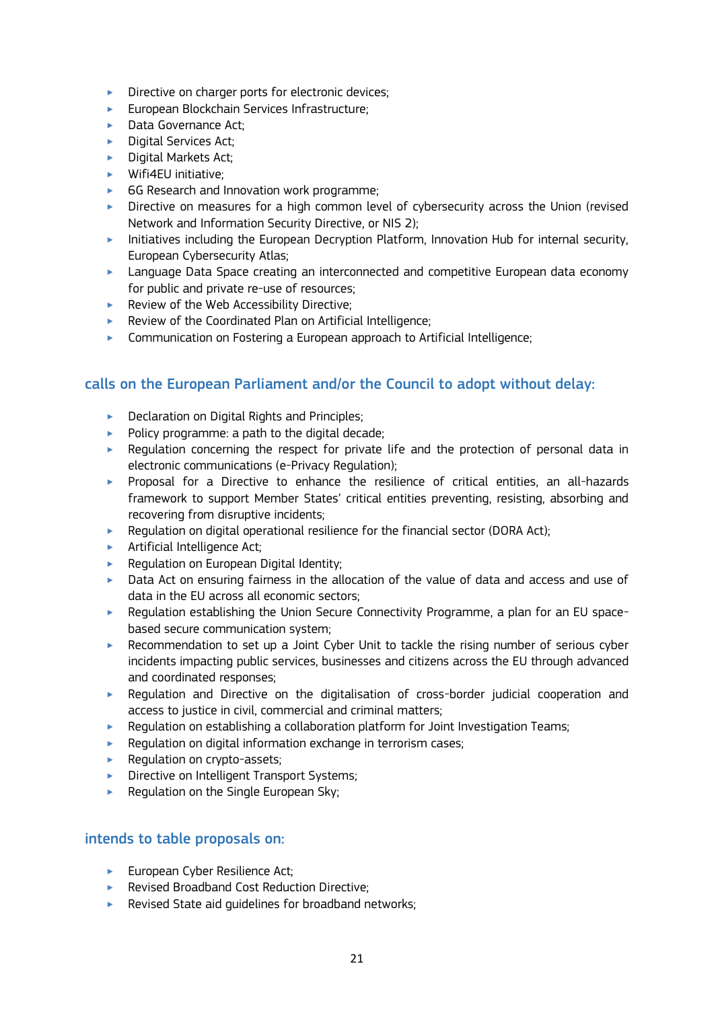- **Directive on charger ports for electronic devices;**
- ‣ European Blockchain Services Infrastructure;
- **Data Governance Act;**
- $\blacktriangleright$  Digital Services Act:
- $\blacktriangleright$  Digital Markets Act:
- $\blacktriangleright$  Wifi4EU initiative;
- ► 6G Research and Innovation work programme;
- ‣ Directive on measures for a high common level of cybersecurity across the Union (revised Network and Information Security Directive, or NIS 2);
- $\blacktriangleright$  Initiatives including the European Decryption Platform, Innovation Hub for internal security, European Cybersecurity Atlas;
- ‣ Language Data Space creating an interconnected and competitive European data economy for public and private re-use of resources;
- ▶ Review of the Web Accessibility Directive;
- ‣ Review of the Coordinated Plan on Artificial Intelligence;
- ‣ Communication on Fostering a European approach to Artificial Intelligence;

- ▶ Declaration on Digital Rights and Principles;
- $\blacktriangleright$  Policy programme: a path to the digital decade;
- ‣ Regulation concerning the respect for private life and the protection of personal data in electronic communications (e-Privacy Regulation);
- ‣ Proposal for a Directive to enhance the resilience of critical entities, an all-hazards framework to support Member States' critical entities preventing, resisting, absorbing and recovering from disruptive incidents;
- $\blacktriangleright$  Regulation on digital operational resilience for the financial sector (DORA Act);
- **EXECUTE:** Artificial Intelligence Act:
- $\blacktriangleright$  Regulation on European Digital Identity;
- ‣ Data Act on ensuring fairness in the allocation of the value of data and access and use of data in the EU across all economic sectors;
- ‣ Regulation establishing the Union Secure Connectivity Programme, a plan for an EU spacebased secure communication system;
- ‣ Recommendation to set up a Joint Cyber Unit to tackle the rising number of serious cyber incidents impacting public services, businesses and citizens across the EU through advanced and coordinated responses;
- ‣ Regulation and Directive on the digitalisation of cross-border judicial cooperation and access to justice in civil, commercial and criminal matters;
- ‣ Regulation on establishing a collaboration platform for Joint Investigation Teams;
- $\blacktriangleright$  Regulation on digital information exchange in terrorism cases;
- **EXECUTE:** Regulation on crypto-assets;
- ▶ Directive on Intelligent Transport Systems;
- $\blacktriangleright$  Regulation on the Single European Sky;

## intends to table proposals on:

- ► European Cyber Resilience Act:
- ▶ Revised Broadband Cost Reduction Directive:
- $\blacktriangleright$  Revised State aid quidelines for broadband networks;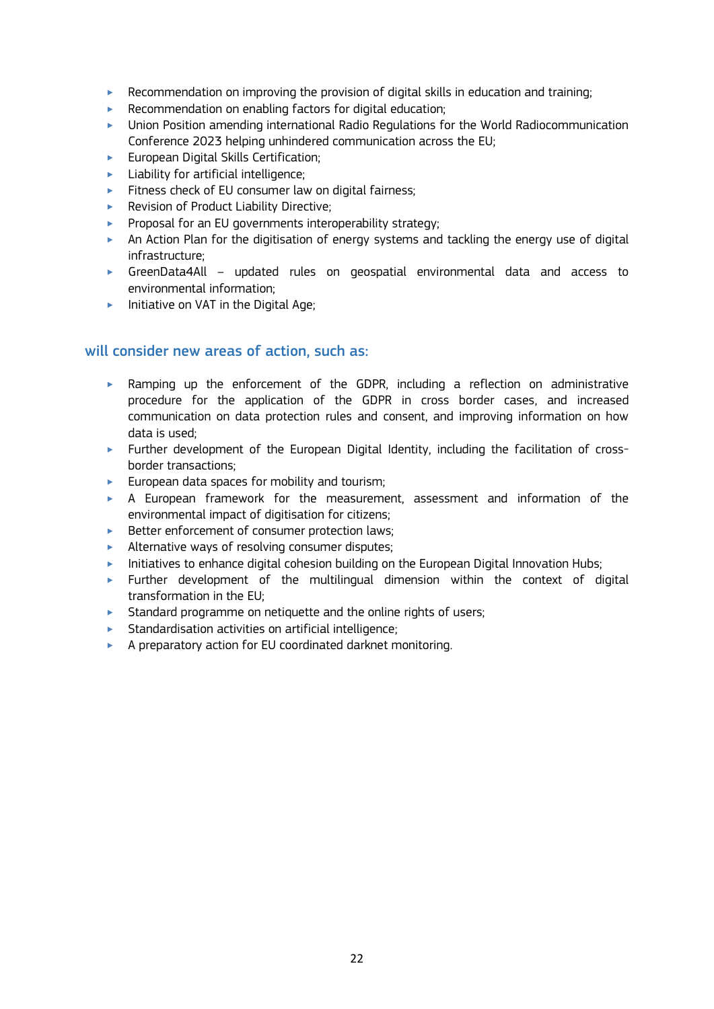- ‣ Recommendation on improving the provision of digital skills in education and training;
- $\blacktriangleright$  Recommendation on enabling factors for digital education;
- ‣ Union Position amending international Radio Regulations for the World Radiocommunication Conference 2023 helping unhindered communication across the EU;
- ‣ European Digital Skills Certification;
- $\blacktriangleright$  Liability for artificial intelligence;
- **Example 1** Fitness check of EU consumer law on digital fairness;
- ▶ Revision of Product Liability Directive;
- **Proposal for an EU governments interoperability strategy;**
- $\triangleright$  An Action Plan for the digitisation of energy systems and tackling the energy use of digital infrastructure;
- ‣ GreenData4All updated rules on geospatial environmental data and access to environmental information;
- $\blacktriangleright$  Initiative on VAT in the Digital Age;

- ‣ Ramping up the enforcement of the GDPR, including a reflection on administrative procedure for the application of the GDPR in cross border cases, and increased communication on data protection rules and consent, and improving information on how data is used;
- ‣ Further development of the European Digital Identity, including the facilitation of crossborder transactions;
- $\blacktriangleright$  European data spaces for mobility and tourism;
- ‣ A European framework for the measurement, assessment and information of the environmental impact of digitisation for citizens;
- ‣ Better enforcement of consumer protection laws;
- ‣ Alternative ways of resolving consumer disputes;
- $\blacktriangleright$  Initiatives to enhance digital cohesion building on the European Digital Innovation Hubs;
- $\triangleright$  Further development of the multilingual dimension within the context of digital transformation in the EU;
- **Standard programme on netiquette and the online rights of users;**
- $\blacktriangleright$  Standardisation activities on artificial intelligence;
- ‣ A preparatory action for EU coordinated darknet monitoring.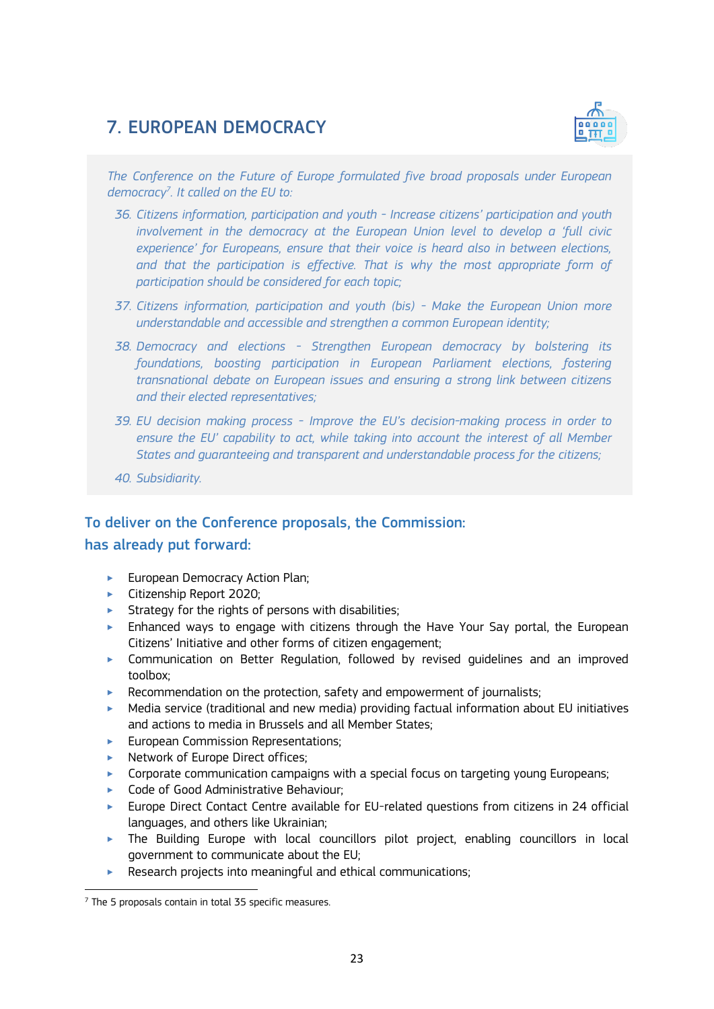# 7. EUROPEAN DEMOCRACY



*The Conference on the Future of Europe formulated five broad proposals under European democracy<sup>7</sup> . It called on the EU to:* 

- *36. Citizens information, participation and youth - Increase citizens' participation and youth involvement in the democracy at the European Union level to develop a 'full civic experience' for Europeans, ensure that their voice is heard also in between elections,*  and that the participation is effective. That is why the most appropriate form of *participation should be considered for each topic;*
- *37. Citizens information, participation and youth (bis) - Make the European Union more understandable and accessible and strengthen a common European identity;*
- *38. Democracy and elections - Strengthen European democracy by bolstering its foundations, boosting participation in European Parliament elections, fostering transnational debate on European issues and ensuring a strong link between citizens and their elected representatives;*
- *39. EU decision making process - Improve the EU's decision-making process in order to ensure the EU' capability to act, while taking into account the interest of all Member States and guaranteeing and transparent and understandable process for the citizens;*
- *40. Subsidiarity.*

## To deliver on the Conference proposals, the Commission: has already put forward:

- **European Democracy Action Plan;**
- ‣ Citizenship Report 2020;
- $\blacktriangleright$  Strategy for the rights of persons with disabilities;
- ‣ Enhanced ways to engage with citizens through the Have Your Say portal, the European Citizens' Initiative and other forms of citizen engagement;
- ‣ Communication on Better Regulation, followed by revised guidelines and an improved toolbox;
- ‣ Recommendation on the protection, safety and empowerment of journalists;
- $\blacktriangleright$  Media service (traditional and new media) providing factual information about EU initiatives and actions to media in Brussels and all Member States;
- **European Commission Representations;**
- ▶ Network of Europe Direct offices:
- $\triangleright$  Corporate communication campaigns with a special focus on targeting young Europeans;
- ‣ Code of Good Administrative Behaviour;
- ‣ Europe Direct Contact Centre available for EU-related questions from citizens in 24 official languages, and others like Ukrainian;
- $\triangleright$  The Building Europe with local councillors pilot project, enabling councillors in local government to communicate about the EU;
- $\blacktriangleright$  Research projects into meaningful and ethical communications;

 $7$  The 5 proposals contain in total 35 specific measures.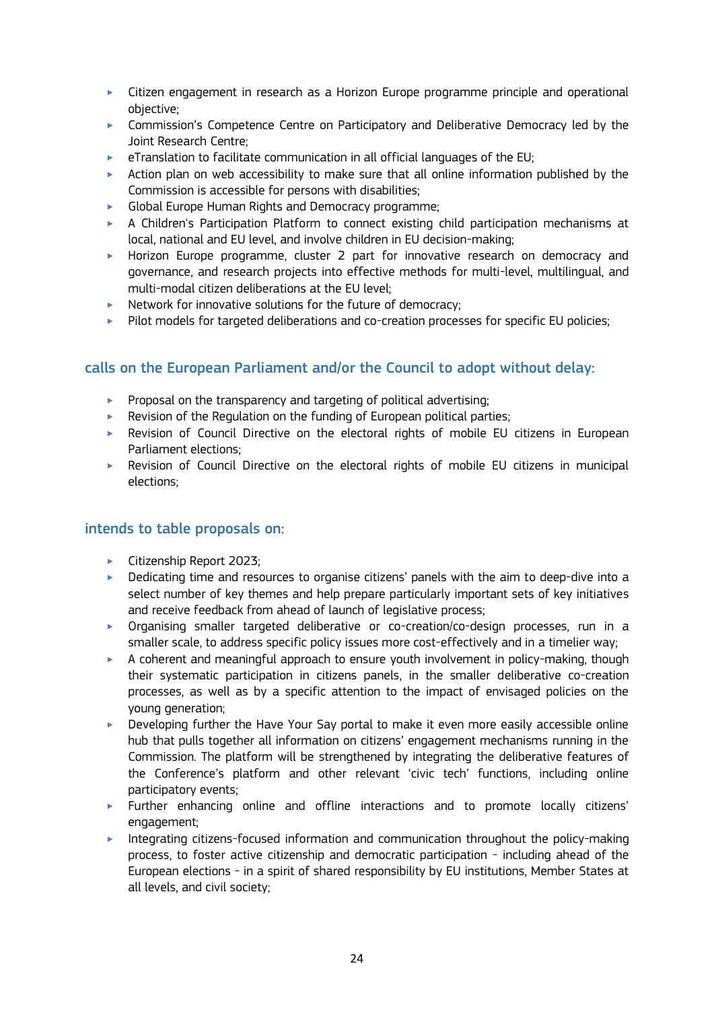- ‣ Citizen engagement in research as a Horizon Europe programme principle and operational objective;
- ‣ Commission's Competence Centre on Participatory and Deliberative Democracy led by the Joint Research Centre;
- $\blacktriangleright$  eTranslation to facilitate communication in all official languages of the EU;
- $\triangleright$  Action plan on web accessibility to make sure that all online information published by the Commission is accessible for persons with disabilities;
- ‣ Global Europe Human Rights and Democracy programme;
- ‣ A Children's Participation Platform to connect existing child participation mechanisms at local, national and EU level, and involve children in EU decision-making;
- ‣ Horizon Europe programme, cluster 2 part for innovative research on democracy and governance, and research projects into effective methods for multi-level, multilingual, and multi-modal citizen deliberations at the EU level;
- ▶ Network for innovative solutions for the future of democracy;
- ▶ Pilot models for targeted deliberations and co-creation processes for specific EU policies;

- $\blacktriangleright$  Proposal on the transparency and targeting of political advertising;
- $\blacktriangleright$  Revision of the [Regulation on the funding of European political parties;](https://eur-lex.europa.eu/legal-content/EN/TXT/?uri=CELEX%3A02014R1141-20180504)
- ‣ Revision of Council Directive on the electoral rights of mobile EU citizens in European Parliament elections;
- ‣ Revision of Council Directive on the electoral rights of mobile EU citizens in municipal elections;

#### intends to table proposals on:

- ‣ Citizenship Report 2023;
- $\blacktriangleright$  Dedicating time and resources to organise citizens' panels with the aim to deep-dive into a select number of key themes and help prepare particularly important sets of key initiatives and receive feedback from ahead of launch of legislative process;
- ‣ Organising smaller targeted deliberative or co-creation/co-design processes, run in a smaller scale, to address specific policy issues more cost-effectively and in a timelier way;
- $\triangleright$  A coherent and meaningful approach to ensure youth involvement in policy-making, though their systematic participation in citizens panels, in the smaller deliberative co-creation processes, as well as by a specific attention to the impact of envisaged policies on the young generation;
- ‣ Developing further the Have Your Say portal to make it even more easily accessible online hub that pulls together all information on citizens' engagement mechanisms running in the Commission. The platform will be strengthened by integrating the deliberative features of the Conference's platform and other relevant 'civic tech' functions, including online participatory events;
- ‣ Further enhancing online and offline interactions and to promote locally citizens' engagement;
- ‣ Integrating citizens-focused information and communication throughout the policy-making process, to foster active citizenship and democratic participation - including ahead of the European elections - in a spirit of shared responsibility by EU institutions, Member States at all levels, and civil society;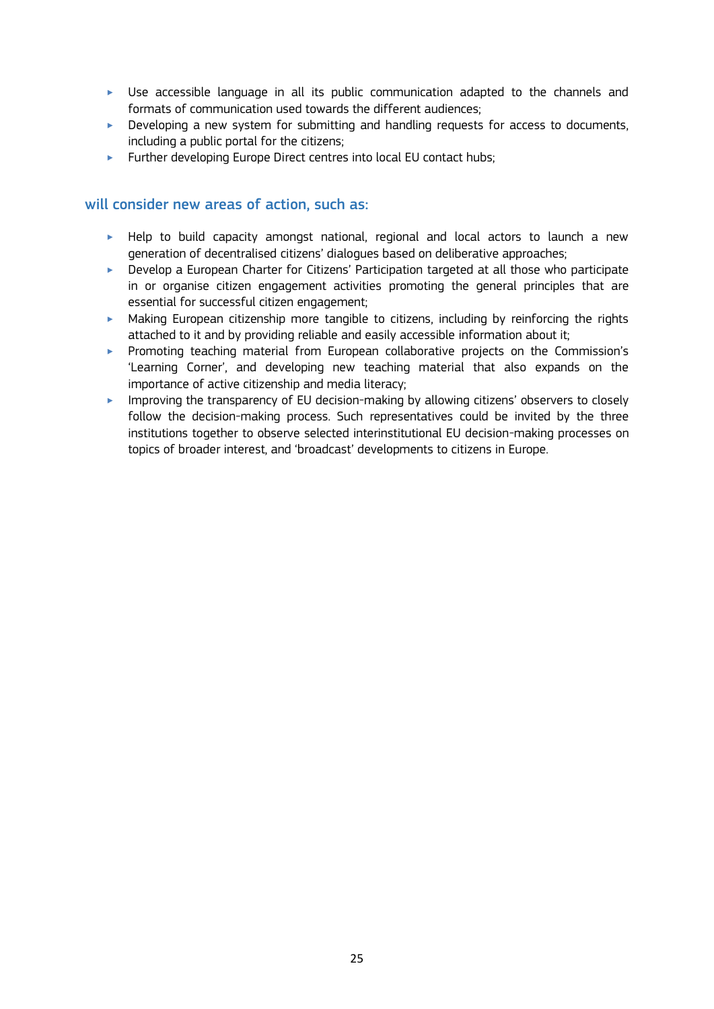- ‣ Use accessible language in all its public communication adapted to the channels and formats of communication used towards the different audiences;
- $\blacktriangleright$  Developing a new system for submitting and handling requests for access to documents, including a public portal for the citizens;
- ‣ Further developing Europe Direct centres into local EU contact hubs;

- $\blacktriangleright$  Help to build capacity amongst national, regional and local actors to launch a new generation of decentralised citizens' dialogues based on deliberative approaches;
- ‣ Develop a European Charter for Citizens' Participation targeted at all those who participate in or organise citizen engagement activities promoting the general principles that are essential for successful citizen engagement;
- $\blacktriangleright$  Making European citizenship more tangible to citizens, including by reinforcing the rights attached to it and by providing reliable and easily accessible information about it;
- ‣ Promoting teaching material from European collaborative projects on the Commission's 'Learning Corner', and developing new teaching material that also expands on the importance of active citizenship and media literacy;
- **IMPROVING the transparency of EU decision-making by allowing citizens' observers to closely** follow the decision-making process. Such representatives could be invited by the three institutions together to observe selected interinstitutional EU decision-making processes on topics of broader interest, and 'broadcast' developments to citizens in Europe.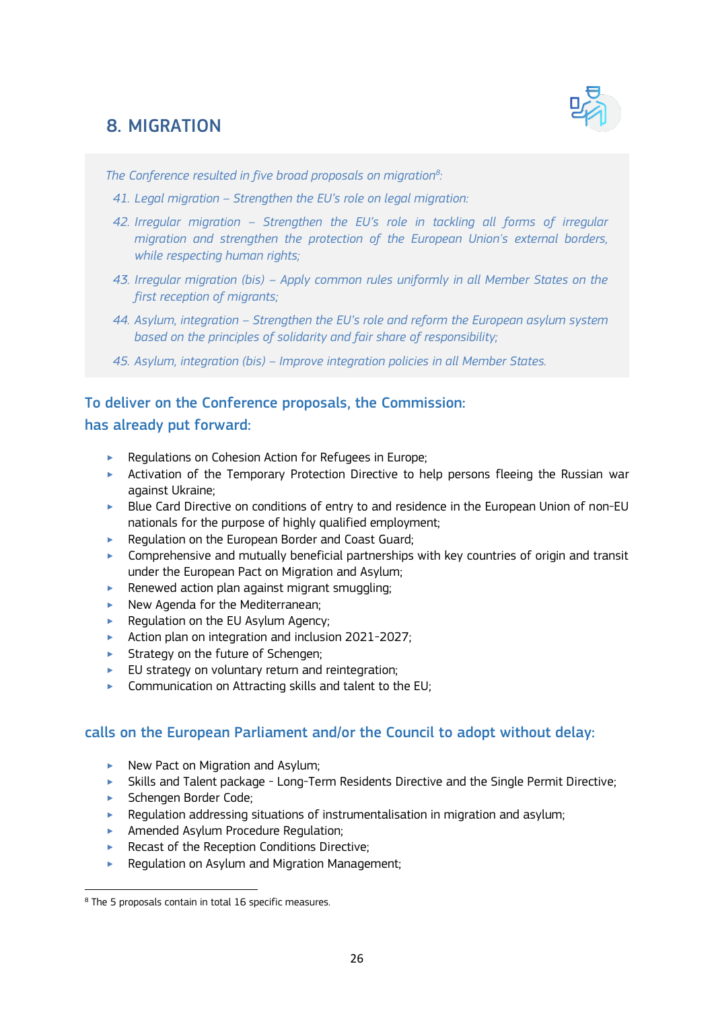# 8. MIGRATION



*The Conference resulted in five broad proposals on migration<sup>8</sup> :* 

- *41. Legal migration – Strengthen the EU's role on legal migration:*
- *42. Irregular migration – Strengthen the EU's role in tackling all forms of irregular migration and strengthen the protection of the European Union's external borders, while respecting human rights;*
- *43. Irregular migration (bis) – Apply common rules uniformly in all Member States on the first reception of migrants;*
- *44. Asylum, integration – Strengthen the EU's role and reform the European asylum system based on the principles of solidarity and fair share of responsibility;*
- *45. Asylum, integration (bis) – Improve integration policies in all Member States.*

## To deliver on the Conference proposals, the Commission:

## has already put forward:

- ‣ Regulations on Cohesion Action for Refugees in Europe;
- ‣ Activation of the Temporary Protection Directive to help persons fleeing the Russian war against Ukraine;
- ► Blue Card Directive on conditions of entry to and residence in the European Union of non-EU nationals for the purpose of highly qualified employment;
- ▶ Regulation on the European Border and Coast Guard;
- $\triangleright$  Comprehensive and mutually beneficial partnerships with key countries of origin and transit under the European Pact on Migration and Asylum;
- $\blacktriangleright$  Renewed action plan against migrant smuggling;
- ▶ New Agenda for the Mediterranean;
- ▶ Regulation on the EU Asylum Agency;
- ‣ Action plan on integration and inclusion 2021-2027;
- **EXECUTE:** Strategy on the future of Schengen;
- $\blacktriangleright$  EU strategy on voluntary return and reintegration;
- $\triangleright$  Communication on Attracting skills and talent to the EU;

## calls on the European Parliament and/or the Council to adopt without delay:

- ▶ New Pact on Migration and Asylum;
- ‣ Skills and Talent package Long-Term Residents Directive and the Single Permit Directive;
- ► Schengen Border Code;

- $\blacktriangleright$  Regulation addressing situations of instrumentalisation in migration and asylum;
- **EXECUTE:** Amended Asylum Procedure Regulation;
- ▶ Recast of the Reception Conditions Directive:
- ‣ Regulation on Asylum and Migration Management;

<sup>8</sup> The 5 proposals contain in total 16 specific measures.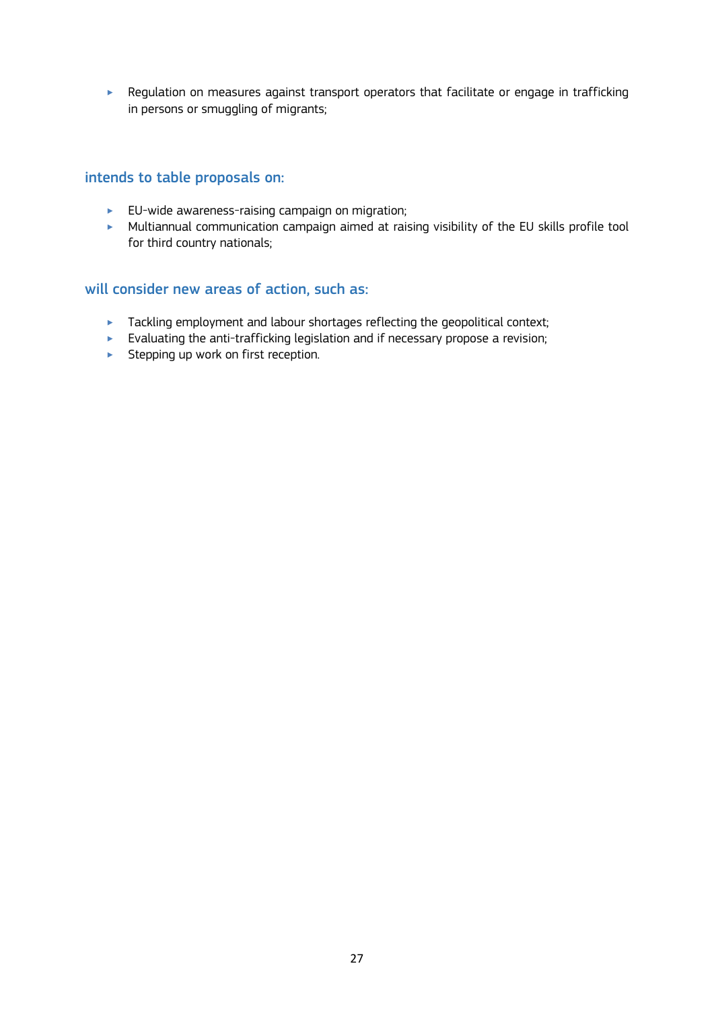‣ Regulation on measures against transport operators that facilitate or engage in trafficking in persons or smuggling of migrants;

## intends to table proposals on:

- $\blacktriangleright$  EU-wide awareness-raising campaign on migration;
- ‣ Multiannual communication campaign aimed at raising visibility of the EU skills profile tool for third country nationals;

- **EXECT** Tackling employment and labour shortages reflecting the geopolitical context;
- $\blacktriangleright$  Evaluating the anti-trafficking legislation and if necessary propose a revision;
- **EXECTED Stepping up work on first reception.**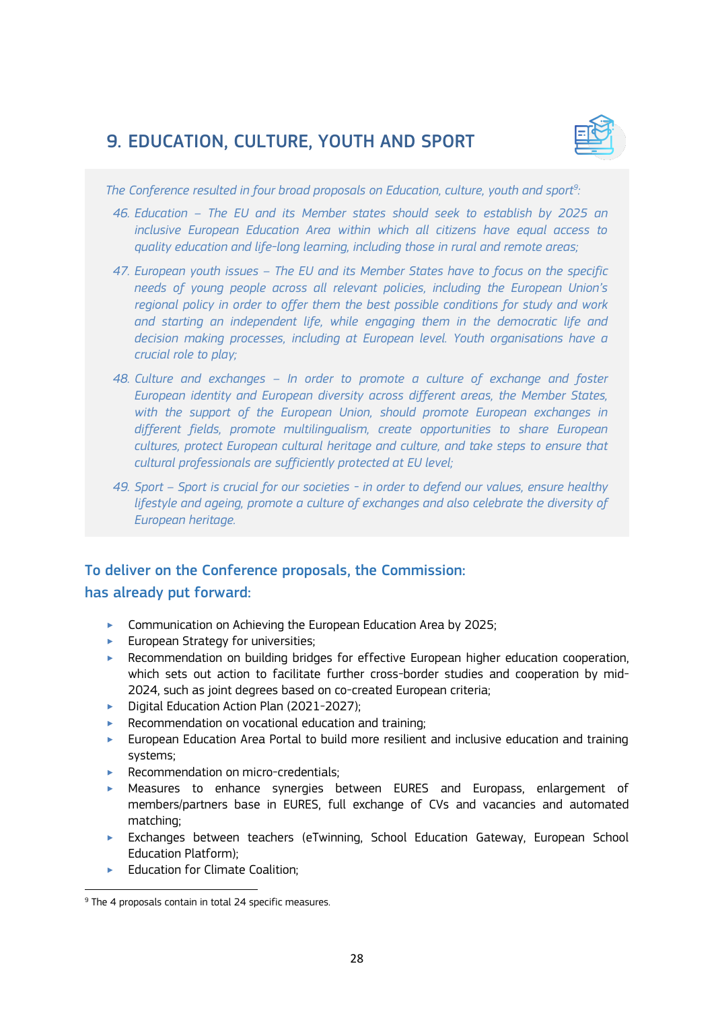# 9. EDUCATION, CULTURE, YOUTH AND SPORT



*The Conference resulted in four broad proposals on Education, culture, youth and sport<sup>9</sup> :*

- *46. Education – The EU and its Member states should seek to establish by 2025 an inclusive European Education Area within which all citizens have equal access to quality education and life-long learning, including those in rural and remote areas;*
- *47. European youth issues – The EU and its Member States have to focus on the specific needs of young people across all relevant policies, including the European Union's regional policy in order to offer them the best possible conditions for study and work and starting an independent life, while engaging them in the democratic life and decision making processes, including at European level. Youth organisations have a crucial role to play;*
- *48. Culture and exchanges – In order to promote a culture of exchange and foster European identity and European diversity across different areas, the Member States,*  with the support of the European Union, should promote European exchanges in *different fields, promote multilingualism, create opportunities to share European cultures, protect European cultural heritage and culture, and take steps to ensure that cultural professionals are sufficiently protected at EU level;*
- *49. Sport – Sport is crucial for our societies - in order to defend our values, ensure healthy lifestyle and ageing, promote a culture of exchanges and also celebrate the diversity of European heritage.*

## To deliver on the Conference proposals, the Commission: has already put forward:

- ▶ Communication on Achieving the European Education Area by 2025;
- $\blacktriangleright$  European Strategy for universities;
- ‣ Recommendation on building bridges for effective European higher education cooperation, which sets out action to facilitate further cross-border studies and cooperation by mid-2024, such as joint degrees based on co-created European criteria;
- ▶ Digital Education Action Plan (2021-2027):
- $\blacktriangleright$  Recommendation on vocational education and training;
- ‣ European Education Area Portal to build more resilient and inclusive education and training systems;
- ▶ Recommendation on micro-credentials;
- ‣ Measures to enhance synergies between EURES and Europass, enlargement of members/partners base in EURES, full exchange of CVs and vacancies and automated matching;
- ‣ Exchanges between teachers (eTwinning, School Education Gateway, European School Education Platform);
- ▶ Education for Climate Coalition;

<sup>9</sup> The 4 proposals contain in total 24 specific measures.